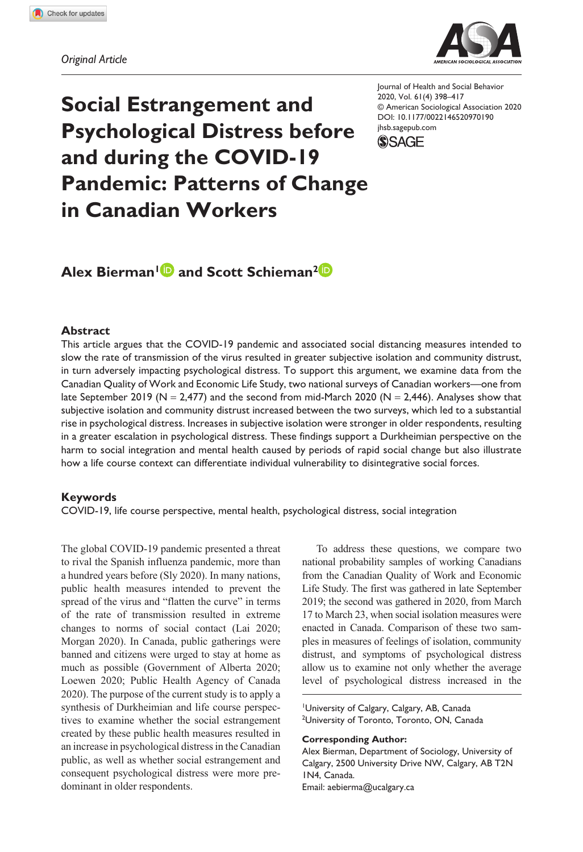**970[190](http://crossmark.crossref.org/dialog/?doi=10.1177%2F0022146520970190&domain=pdf&date_stamp=2020-11-19)** HSBXXX10.1177/0022146520970190Journal of Health and Social Behavior**Bierman and Schieman**



**Social Estrangement and Psychological Distress before and during the COVID-19 Pandemic: Patterns of Change in Canadian Workers**

https://doi.org/10.1177/0022146520970190 DOI: 10.1177/0022146520970190 Journal of Health and Social Behavior 2020, Vol. 61(4) 398–417 © American Sociological Association 2020 [jhsb.sagepub.com](https://jhsb.sagepub.com)



# **Alex Bierman<sup>1</sup> and Scott Schieman<sup>2</sup>**

#### **Abstract**

This article argues that the COVID-19 pandemic and associated social distancing measures intended to slow the rate of transmission of the virus resulted in greater subjective isolation and community distrust, in turn adversely impacting psychological distress. To support this argument, we examine data from the Canadian Quality of Work and Economic Life Study, two national surveys of Canadian workers—one from late September 2019 ( $N = 2,477$ ) and the second from mid-March 2020 ( $N = 2,446$ ). Analyses show that subjective isolation and community distrust increased between the two surveys, which led to a substantial rise in psychological distress. Increases in subjective isolation were stronger in older respondents, resulting in a greater escalation in psychological distress. These findings support a Durkheimian perspective on the harm to social integration and mental health caused by periods of rapid social change but also illustrate how a life course context can differentiate individual vulnerability to disintegrative social forces.

#### **Keywords**

COVID-19, life course perspective, mental health, psychological distress, social integration

The global COVID-19 pandemic presented a threat to rival the Spanish influenza pandemic, more than a hundred years before (Sly 2020). In many nations, public health measures intended to prevent the spread of the virus and "flatten the curve" in terms of the rate of transmission resulted in extreme changes to norms of social contact (Lai 2020; Morgan 2020). In Canada, public gatherings were banned and citizens were urged to stay at home as much as possible (Government of Alberta 2020; Loewen 2020; Public Health Agency of Canada 2020). The purpose of the current study is to apply a synthesis of Durkheimian and life course perspectives to examine whether the social estrangement created by these public health measures resulted in an increase in psychological distress in the Canadian public, as well as whether social estrangement and consequent psychological distress were more predominant in older respondents.

To address these questions, we compare two national probability samples of working Canadians from the Canadian Quality of Work and Economic Life Study. The first was gathered in late September 2019; the second was gathered in 2020, from March 17 to March 23, when social isolation measures were enacted in Canada. Comparison of these two samples in measures of feelings of isolation, community distrust, and symptoms of psychological distress allow us to examine not only whether the average level of psychological distress increased in the

1 University of Calgary, Calgary, AB, Canada <sup>2</sup>University of Toronto, Toronto, ON, Canada

#### **Corresponding Author:**

Alex Bierman, Department of Sociology, University of Calgary, 2500 University Drive NW, Calgary, AB T2N 1N4, Canada. Email: [aebierma@ucalgary.ca](mailto:aebierma@ucalgary.ca)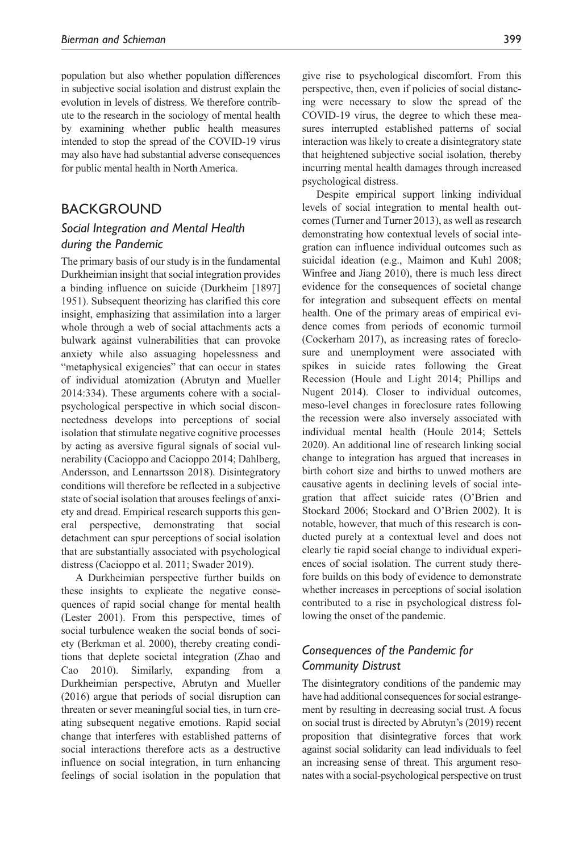population but also whether population differences in subjective social isolation and distrust explain the evolution in levels of distress. We therefore contribute to the research in the sociology of mental health by examining whether public health measures intended to stop the spread of the COVID-19 virus may also have had substantial adverse consequences for public mental health in North America.

## **BACKGROUND**

### *Social Integration and Mental Health during the Pandemic*

The primary basis of our study is in the fundamental Durkheimian insight that social integration provides a binding influence on suicide (Durkheim [1897] 1951). Subsequent theorizing has clarified this core insight, emphasizing that assimilation into a larger whole through a web of social attachments acts a bulwark against vulnerabilities that can provoke anxiety while also assuaging hopelessness and "metaphysical exigencies" that can occur in states of individual atomization (Abrutyn and Mueller 2014:334). These arguments cohere with a socialpsychological perspective in which social disconnectedness develops into perceptions of social isolation that stimulate negative cognitive processes by acting as aversive figural signals of social vulnerability (Cacioppo and Cacioppo 2014; Dahlberg, Andersson, and Lennartsson 2018). Disintegratory conditions will therefore be reflected in a subjective state of social isolation that arouses feelings of anxiety and dread. Empirical research supports this general perspective, demonstrating that social detachment can spur perceptions of social isolation that are substantially associated with psychological distress (Cacioppo et al. 2011; Swader 2019).

A Durkheimian perspective further builds on these insights to explicate the negative consequences of rapid social change for mental health (Lester 2001). From this perspective, times of social turbulence weaken the social bonds of society (Berkman et al. 2000), thereby creating conditions that deplete societal integration (Zhao and Cao 2010). Similarly, expanding from a Durkheimian perspective, Abrutyn and Mueller (2016) argue that periods of social disruption can threaten or sever meaningful social ties, in turn creating subsequent negative emotions. Rapid social change that interferes with established patterns of social interactions therefore acts as a destructive influence on social integration, in turn enhancing feelings of social isolation in the population that

give rise to psychological discomfort. From this perspective, then, even if policies of social distancing were necessary to slow the spread of the COVID-19 virus, the degree to which these measures interrupted established patterns of social interaction was likely to create a disintegratory state that heightened subjective social isolation, thereby incurring mental health damages through increased psychological distress.

Despite empirical support linking individual levels of social integration to mental health outcomes (Turner and Turner 2013), as well as research demonstrating how contextual levels of social integration can influence individual outcomes such as suicidal ideation (e.g., Maimon and Kuhl 2008; Winfree and Jiang 2010), there is much less direct evidence for the consequences of societal change for integration and subsequent effects on mental health. One of the primary areas of empirical evidence comes from periods of economic turmoil (Cockerham 2017), as increasing rates of foreclosure and unemployment were associated with spikes in suicide rates following the Great Recession (Houle and Light 2014; Phillips and Nugent 2014). Closer to individual outcomes, meso-level changes in foreclosure rates following the recession were also inversely associated with individual mental health (Houle 2014; Settels 2020). An additional line of research linking social change to integration has argued that increases in birth cohort size and births to unwed mothers are causative agents in declining levels of social integration that affect suicide rates (O'Brien and Stockard 2006; Stockard and O'Brien 2002). It is notable, however, that much of this research is conducted purely at a contextual level and does not clearly tie rapid social change to individual experiences of social isolation. The current study therefore builds on this body of evidence to demonstrate whether increases in perceptions of social isolation contributed to a rise in psychological distress following the onset of the pandemic.

### *Consequences of the Pandemic for Community Distrust*

The disintegratory conditions of the pandemic may have had additional consequences for social estrangement by resulting in decreasing social trust. A focus on social trust is directed by Abrutyn's (2019) recent proposition that disintegrative forces that work against social solidarity can lead individuals to feel an increasing sense of threat. This argument resonates with a social-psychological perspective on trust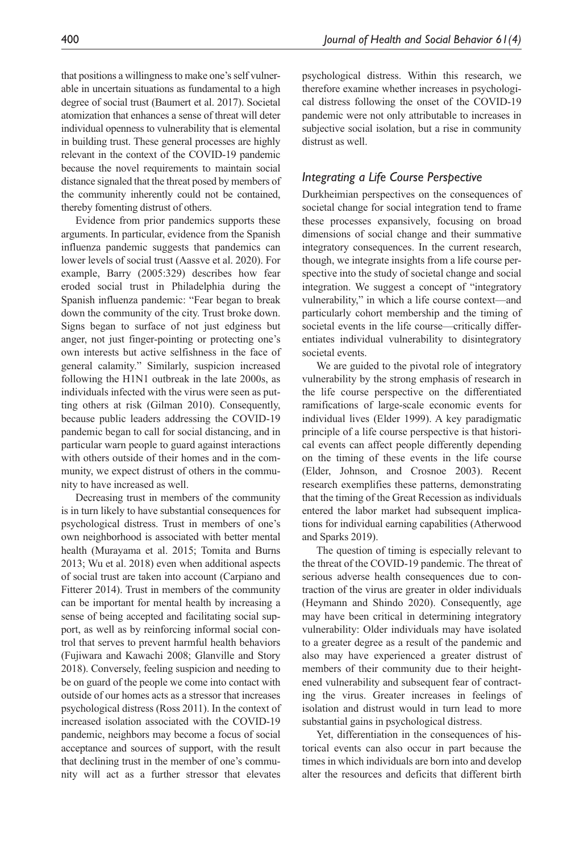that positions a willingness to make one's self vulnerable in uncertain situations as fundamental to a high degree of social trust (Baumert et al. 2017). Societal atomization that enhances a sense of threat will deter individual openness to vulnerability that is elemental in building trust. These general processes are highly relevant in the context of the COVID-19 pandemic because the novel requirements to maintain social distance signaled that the threat posed by members of the community inherently could not be contained, thereby fomenting distrust of others.

Evidence from prior pandemics supports these arguments. In particular, evidence from the Spanish influenza pandemic suggests that pandemics can lower levels of social trust (Aassve et al. 2020). For example, Barry (2005:329) describes how fear eroded social trust in Philadelphia during the Spanish influenza pandemic: "Fear began to break down the community of the city. Trust broke down. Signs began to surface of not just edginess but anger, not just finger-pointing or protecting one's own interests but active selfishness in the face of general calamity." Similarly, suspicion increased following the H1N1 outbreak in the late 2000s, as individuals infected with the virus were seen as putting others at risk (Gilman 2010). Consequently, because public leaders addressing the COVID-19 pandemic began to call for social distancing, and in particular warn people to guard against interactions with others outside of their homes and in the community, we expect distrust of others in the community to have increased as well.

Decreasing trust in members of the community is in turn likely to have substantial consequences for psychological distress. Trust in members of one's own neighborhood is associated with better mental health (Murayama et al. 2015; Tomita and Burns 2013; Wu et al. 2018) even when additional aspects of social trust are taken into account (Carpiano and Fitterer 2014). Trust in members of the community can be important for mental health by increasing a sense of being accepted and facilitating social support, as well as by reinforcing informal social control that serves to prevent harmful health behaviors (Fujiwara and Kawachi 2008; Glanville and Story 2018). Conversely, feeling suspicion and needing to be on guard of the people we come into contact with outside of our homes acts as a stressor that increases psychological distress (Ross 2011). In the context of increased isolation associated with the COVID-19 pandemic, neighbors may become a focus of social acceptance and sources of support, with the result that declining trust in the member of one's community will act as a further stressor that elevates

psychological distress. Within this research, we therefore examine whether increases in psychological distress following the onset of the COVID-19 pandemic were not only attributable to increases in subjective social isolation, but a rise in community distrust as well.

#### *Integrating a Life Course Perspective*

Durkheimian perspectives on the consequences of societal change for social integration tend to frame these processes expansively, focusing on broad dimensions of social change and their summative integratory consequences. In the current research, though, we integrate insights from a life course perspective into the study of societal change and social integration. We suggest a concept of "integratory vulnerability," in which a life course context—and particularly cohort membership and the timing of societal events in the life course—critically differentiates individual vulnerability to disintegratory societal events.

We are guided to the pivotal role of integratory vulnerability by the strong emphasis of research in the life course perspective on the differentiated ramifications of large-scale economic events for individual lives (Elder 1999). A key paradigmatic principle of a life course perspective is that historical events can affect people differently depending on the timing of these events in the life course (Elder, Johnson, and Crosnoe 2003). Recent research exemplifies these patterns, demonstrating that the timing of the Great Recession as individuals entered the labor market had subsequent implications for individual earning capabilities (Atherwood and Sparks 2019).

The question of timing is especially relevant to the threat of the COVID-19 pandemic. The threat of serious adverse health consequences due to contraction of the virus are greater in older individuals (Heymann and Shindo 2020). Consequently, age may have been critical in determining integratory vulnerability: Older individuals may have isolated to a greater degree as a result of the pandemic and also may have experienced a greater distrust of members of their community due to their heightened vulnerability and subsequent fear of contracting the virus. Greater increases in feelings of isolation and distrust would in turn lead to more substantial gains in psychological distress.

Yet, differentiation in the consequences of historical events can also occur in part because the times in which individuals are born into and develop alter the resources and deficits that different birth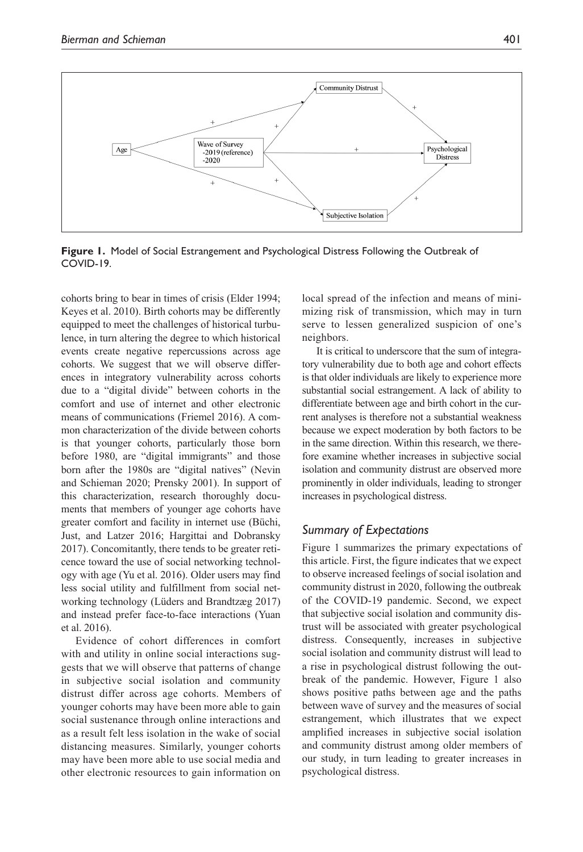

**Figure 1.** Model of Social Estrangement and Psychological Distress Following the Outbreak of COVID-19.

cohorts bring to bear in times of crisis (Elder 1994; Keyes et al. 2010). Birth cohorts may be differently equipped to meet the challenges of historical turbulence, in turn altering the degree to which historical events create negative repercussions across age cohorts. We suggest that we will observe differences in integratory vulnerability across cohorts due to a "digital divide" between cohorts in the comfort and use of internet and other electronic means of communications (Friemel 2016). A common characterization of the divide between cohorts is that younger cohorts, particularly those born before 1980, are "digital immigrants" and those born after the 1980s are "digital natives" (Nevin and Schieman 2020; Prensky 2001). In support of this characterization, research thoroughly documents that members of younger age cohorts have greater comfort and facility in internet use (Büchi, Just, and Latzer 2016; Hargittai and Dobransky 2017). Concomitantly, there tends to be greater reticence toward the use of social networking technology with age (Yu et al. 2016). Older users may find less social utility and fulfillment from social networking technology (Lüders and Brandtzæg 2017) and instead prefer face-to-face interactions (Yuan et al. 2016).

Evidence of cohort differences in comfort with and utility in online social interactions suggests that we will observe that patterns of change in subjective social isolation and community distrust differ across age cohorts. Members of younger cohorts may have been more able to gain social sustenance through online interactions and as a result felt less isolation in the wake of social distancing measures. Similarly, younger cohorts may have been more able to use social media and other electronic resources to gain information on

local spread of the infection and means of minimizing risk of transmission, which may in turn serve to lessen generalized suspicion of one's neighbors.

It is critical to underscore that the sum of integratory vulnerability due to both age and cohort effects is that older individuals are likely to experience more substantial social estrangement. A lack of ability to differentiate between age and birth cohort in the current analyses is therefore not a substantial weakness because we expect moderation by both factors to be in the same direction. Within this research, we therefore examine whether increases in subjective social isolation and community distrust are observed more prominently in older individuals, leading to stronger increases in psychological distress.

#### *Summary of Expectations*

Figure 1 summarizes the primary expectations of this article. First, the figure indicates that we expect to observe increased feelings of social isolation and community distrust in 2020, following the outbreak of the COVID-19 pandemic. Second, we expect that subjective social isolation and community distrust will be associated with greater psychological distress. Consequently, increases in subjective social isolation and community distrust will lead to a rise in psychological distrust following the outbreak of the pandemic. However, Figure 1 also shows positive paths between age and the paths between wave of survey and the measures of social estrangement, which illustrates that we expect amplified increases in subjective social isolation and community distrust among older members of our study, in turn leading to greater increases in psychological distress.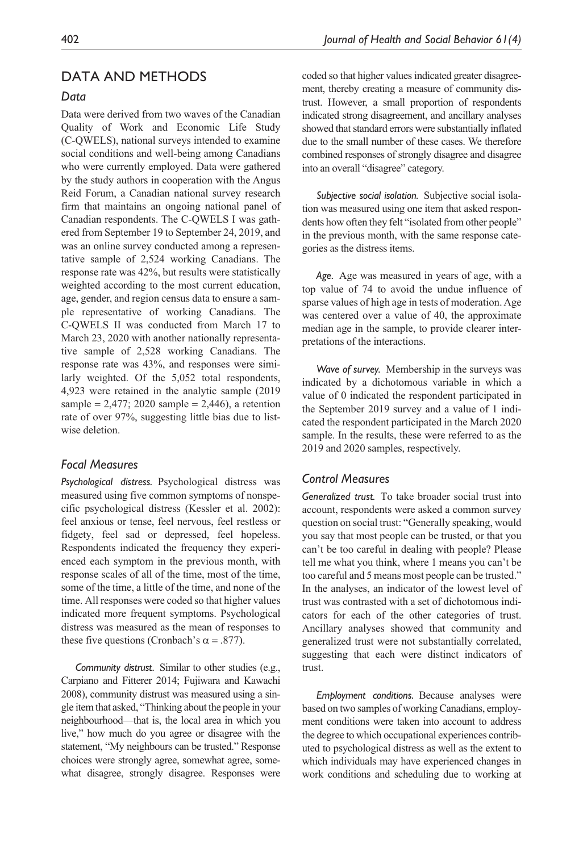## DATA AND METHODS

#### *Data*

Data were derived from two waves of the Canadian Quality of Work and Economic Life Study (C-QWELS), national surveys intended to examine social conditions and well-being among Canadians who were currently employed. Data were gathered by the study authors in cooperation with the Angus Reid Forum, a Canadian national survey research firm that maintains an ongoing national panel of Canadian respondents. The C-QWELS I was gathered from September 19 to September 24, 2019, and was an online survey conducted among a representative sample of 2,524 working Canadians. The response rate was 42%, but results were statistically weighted according to the most current education, age, gender, and region census data to ensure a sample representative of working Canadians. The C-QWELS II was conducted from March 17 to March 23, 2020 with another nationally representative sample of 2,528 working Canadians. The response rate was 43%, and responses were similarly weighted. Of the 5,052 total respondents, 4,923 were retained in the analytic sample (2019 sample =  $2,477$ ; 2020 sample =  $2,446$ ), a retention rate of over 97%, suggesting little bias due to listwise deletion.

#### *Focal Measures*

*Psychological distress.* Psychological distress was measured using five common symptoms of nonspecific psychological distress (Kessler et al. 2002): feel anxious or tense, feel nervous, feel restless or fidgety, feel sad or depressed, feel hopeless. Respondents indicated the frequency they experienced each symptom in the previous month, with response scales of all of the time, most of the time, some of the time, a little of the time, and none of the time. All responses were coded so that higher values indicated more frequent symptoms. Psychological distress was measured as the mean of responses to these five questions (Cronbach's  $\alpha$  = .877).

*Community distrust.* Similar to other studies (e.g., Carpiano and Fitterer 2014; Fujiwara and Kawachi 2008), community distrust was measured using a single item that asked, "Thinking about the people in your neighbourhood—that is, the local area in which you live," how much do you agree or disagree with the statement, "My neighbours can be trusted." Response choices were strongly agree, somewhat agree, somewhat disagree, strongly disagree. Responses were coded so that higher values indicated greater disagreement, thereby creating a measure of community distrust. However, a small proportion of respondents indicated strong disagreement, and ancillary analyses showed that standard errors were substantially inflated due to the small number of these cases. We therefore combined responses of strongly disagree and disagree into an overall "disagree" category.

*Subjective social isolation.* Subjective social isolation was measured using one item that asked respondents how often they felt "isolated from other people" in the previous month, with the same response categories as the distress items.

*Age.* Age was measured in years of age, with a top value of 74 to avoid the undue influence of sparse values of high age in tests of moderation. Age was centered over a value of 40, the approximate median age in the sample, to provide clearer interpretations of the interactions.

*Wave of survey.* Membership in the surveys was indicated by a dichotomous variable in which a value of 0 indicated the respondent participated in the September 2019 survey and a value of 1 indicated the respondent participated in the March 2020 sample. In the results, these were referred to as the 2019 and 2020 samples, respectively.

#### *Control Measures*

*Generalized trust.* To take broader social trust into account, respondents were asked a common survey question on social trust: "Generally speaking, would you say that most people can be trusted, or that you can't be too careful in dealing with people? Please tell me what you think, where 1 means you can't be too careful and 5 means most people can be trusted." In the analyses, an indicator of the lowest level of trust was contrasted with a set of dichotomous indicators for each of the other categories of trust. Ancillary analyses showed that community and generalized trust were not substantially correlated, suggesting that each were distinct indicators of trust.

*Employment conditions.* Because analyses were based on two samples of working Canadians, employment conditions were taken into account to address the degree to which occupational experiences contributed to psychological distress as well as the extent to which individuals may have experienced changes in work conditions and scheduling due to working at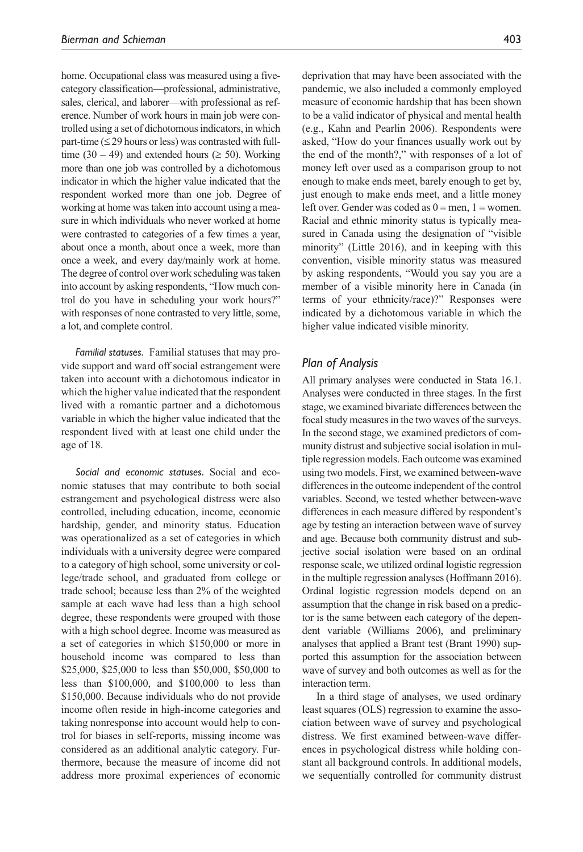home. Occupational class was measured using a fivecategory classification—professional, administrative, sales, clerical, and laborer—with professional as reference. Number of work hours in main job were controlled using a set of dichotomous indicators, in which part-time ( $\leq$  29 hours or less) was contrasted with fulltime (30 – 49) and extended hours ( $\geq$  50). Working more than one job was controlled by a dichotomous indicator in which the higher value indicated that the respondent worked more than one job. Degree of working at home was taken into account using a measure in which individuals who never worked at home were contrasted to categories of a few times a year, about once a month, about once a week, more than once a week, and every day/mainly work at home. The degree of control over work scheduling was taken into account by asking respondents, "How much control do you have in scheduling your work hours?" with responses of none contrasted to very little, some, a lot, and complete control.

*Familial statuses.* Familial statuses that may provide support and ward off social estrangement were taken into account with a dichotomous indicator in which the higher value indicated that the respondent lived with a romantic partner and a dichotomous variable in which the higher value indicated that the respondent lived with at least one child under the age of 18.

*Social and economic statuses.* Social and economic statuses that may contribute to both social estrangement and psychological distress were also controlled, including education, income, economic hardship, gender, and minority status. Education was operationalized as a set of categories in which individuals with a university degree were compared to a category of high school, some university or college/trade school, and graduated from college or trade school; because less than 2% of the weighted sample at each wave had less than a high school degree, these respondents were grouped with those with a high school degree. Income was measured as a set of categories in which \$150,000 or more in household income was compared to less than \$25,000, \$25,000 to less than \$50,000, \$50,000 to less than \$100,000, and \$100,000 to less than \$150,000. Because individuals who do not provide income often reside in high-income categories and taking nonresponse into account would help to control for biases in self-reports, missing income was considered as an additional analytic category. Furthermore, because the measure of income did not address more proximal experiences of economic deprivation that may have been associated with the pandemic, we also included a commonly employed measure of economic hardship that has been shown to be a valid indicator of physical and mental health (e.g., Kahn and Pearlin 2006). Respondents were asked, "How do your finances usually work out by the end of the month?," with responses of a lot of money left over used as a comparison group to not enough to make ends meet, barely enough to get by, just enough to make ends meet, and a little money left over. Gender was coded as  $0 =$ men,  $1 =$ women. Racial and ethnic minority status is typically measured in Canada using the designation of "visible minority" (Little 2016), and in keeping with this convention, visible minority status was measured by asking respondents, "Would you say you are a member of a visible minority here in Canada (in terms of your ethnicity/race)?" Responses were indicated by a dichotomous variable in which the higher value indicated visible minority.

#### *Plan of Analysis*

All primary analyses were conducted in Stata 16.1. Analyses were conducted in three stages. In the first stage, we examined bivariate differences between the focal study measures in the two waves of the surveys. In the second stage, we examined predictors of community distrust and subjective social isolation in multiple regression models. Each outcome was examined using two models. First, we examined between-wave differences in the outcome independent of the control variables. Second, we tested whether between-wave differences in each measure differed by respondent's age by testing an interaction between wave of survey and age. Because both community distrust and subjective social isolation were based on an ordinal response scale, we utilized ordinal logistic regression in the multiple regression analyses (Hoffmann 2016). Ordinal logistic regression models depend on an assumption that the change in risk based on a predictor is the same between each category of the dependent variable (Williams 2006), and preliminary analyses that applied a Brant test (Brant 1990) supported this assumption for the association between wave of survey and both outcomes as well as for the interaction term.

In a third stage of analyses, we used ordinary least squares (OLS) regression to examine the association between wave of survey and psychological distress. We first examined between-wave differences in psychological distress while holding constant all background controls. In additional models, we sequentially controlled for community distrust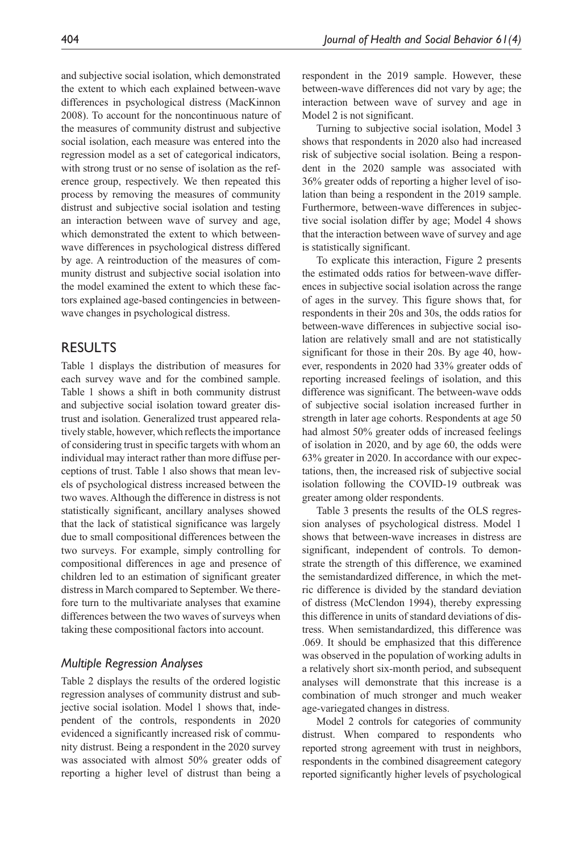and subjective social isolation, which demonstrated the extent to which each explained between-wave differences in psychological distress (MacKinnon 2008). To account for the noncontinuous nature of the measures of community distrust and subjective social isolation, each measure was entered into the regression model as a set of categorical indicators, with strong trust or no sense of isolation as the reference group, respectively. We then repeated this process by removing the measures of community distrust and subjective social isolation and testing an interaction between wave of survey and age, which demonstrated the extent to which betweenwave differences in psychological distress differed by age. A reintroduction of the measures of community distrust and subjective social isolation into the model examined the extent to which these factors explained age-based contingencies in betweenwave changes in psychological distress.

## **RESULTS**

Table 1 displays the distribution of measures for each survey wave and for the combined sample. Table 1 shows a shift in both community distrust and subjective social isolation toward greater distrust and isolation. Generalized trust appeared relatively stable, however, which reflects the importance of considering trust in specific targets with whom an individual may interact rather than more diffuse perceptions of trust. Table 1 also shows that mean levels of psychological distress increased between the two waves. Although the difference in distress is not statistically significant, ancillary analyses showed that the lack of statistical significance was largely due to small compositional differences between the two surveys. For example, simply controlling for compositional differences in age and presence of children led to an estimation of significant greater distress in March compared to September. We therefore turn to the multivariate analyses that examine differences between the two waves of surveys when taking these compositional factors into account.

#### *Multiple Regression Analyses*

Table 2 displays the results of the ordered logistic regression analyses of community distrust and subjective social isolation. Model 1 shows that, independent of the controls, respondents in 2020 evidenced a significantly increased risk of community distrust. Being a respondent in the 2020 survey was associated with almost 50% greater odds of reporting a higher level of distrust than being a respondent in the 2019 sample. However, these between-wave differences did not vary by age; the interaction between wave of survey and age in Model 2 is not significant.

Turning to subjective social isolation, Model 3 shows that respondents in 2020 also had increased risk of subjective social isolation. Being a respondent in the 2020 sample was associated with 36% greater odds of reporting a higher level of isolation than being a respondent in the 2019 sample. Furthermore, between-wave differences in subjective social isolation differ by age; Model 4 shows that the interaction between wave of survey and age is statistically significant.

To explicate this interaction, Figure 2 presents the estimated odds ratios for between-wave differences in subjective social isolation across the range of ages in the survey. This figure shows that, for respondents in their 20s and 30s, the odds ratios for between-wave differences in subjective social isolation are relatively small and are not statistically significant for those in their 20s. By age 40, however, respondents in 2020 had 33% greater odds of reporting increased feelings of isolation, and this difference was significant. The between-wave odds of subjective social isolation increased further in strength in later age cohorts. Respondents at age 50 had almost 50% greater odds of increased feelings of isolation in 2020, and by age 60, the odds were 63% greater in 2020. In accordance with our expectations, then, the increased risk of subjective social isolation following the COVID-19 outbreak was greater among older respondents.

Table 3 presents the results of the OLS regression analyses of psychological distress. Model 1 shows that between-wave increases in distress are significant, independent of controls. To demonstrate the strength of this difference, we examined the semistandardized difference, in which the metric difference is divided by the standard deviation of distress (McClendon 1994), thereby expressing this difference in units of standard deviations of distress. When semistandardized, this difference was .069. It should be emphasized that this difference was observed in the population of working adults in a relatively short six-month period, and subsequent analyses will demonstrate that this increase is a combination of much stronger and much weaker age-variegated changes in distress.

Model 2 controls for categories of community distrust. When compared to respondents who reported strong agreement with trust in neighbors, respondents in the combined disagreement category reported significantly higher levels of psychological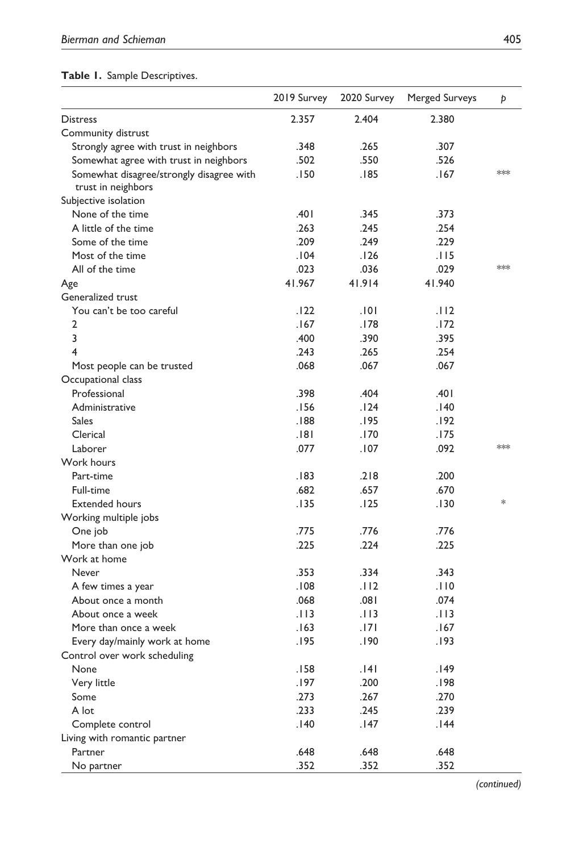# **Table 1.** Sample Descriptives.

|                                          | 2019 Survey | 2020 Survey | <b>Merged Surveys</b> | Þ    |
|------------------------------------------|-------------|-------------|-----------------------|------|
| <b>Distress</b>                          | 2.357       | 2.404       | 2.380                 |      |
| Community distrust                       |             |             |                       |      |
| Strongly agree with trust in neighbors   | .348        | .265        | .307                  |      |
| Somewhat agree with trust in neighbors   | .502        | .550        | .526                  |      |
| Somewhat disagree/strongly disagree with | .150        | .185        | .167                  | $**$ |
| trust in neighbors                       |             |             |                       |      |
| Subjective isolation                     |             |             |                       |      |
| None of the time                         | .401        | .345        | .373                  |      |
| A little of the time                     | .263        | .245        | .254                  |      |
| Some of the time                         | .209        | .249        | .229                  |      |
| Most of the time                         | .104        | .126        | .। । 5                |      |
| All of the time                          | .023        | .036        | .029                  | $**$ |
| Age                                      | 41.967      | 41.914      | 41.940                |      |
| Generalized trust                        |             |             |                       |      |
| You can't be too careful                 | .122        | .101        | .112                  |      |
| 2                                        | .167        | .178        | .172                  |      |
| 3                                        | .400        | .390        | .395                  |      |
| $\overline{4}$                           | .243        | .265        | .254                  |      |
| Most people can be trusted               | .068        | .067        | .067                  |      |
| Occupational class                       |             |             |                       |      |
| Professional                             | .398        | .404        | .401                  |      |
| Administrative                           | .156        | .124        | .140                  |      |
| <b>Sales</b>                             | .188        | .195        | .192                  |      |
| Clerical                                 | .181        | .170        | .175                  |      |
| Laborer                                  | .077        | .107        | .092                  | $**$ |
| Work hours                               |             |             |                       |      |
| Part-time                                | .183        | .218        | .200                  |      |
| Full-time                                | .682        | .657        | .670                  |      |
| <b>Extended hours</b>                    | .135        | .125        | .130                  | *    |
| Working multiple jobs                    |             |             |                       |      |
|                                          | .775        | .776        | .776                  |      |
| One job                                  | .225        | .224        | .225                  |      |
| More than one job<br>Work at home        |             |             |                       |      |
| Never                                    |             |             |                       |      |
|                                          | .353        | .334        | .343                  |      |
| A few times a year                       | .108        | .112        | . । । 0               |      |
| About once a month                       | .068        | .081        | .074                  |      |
| About once a week                        | .113        | .113        | . I I 3               |      |
| More than once a week                    | .163        | .171        | .167                  |      |
| Every day/mainly work at home            | .195        | 190.        | .193                  |      |
| Control over work scheduling             |             |             |                       |      |
| None                                     | .158        | .141        | 149.                  |      |
| Very little                              | .197        | .200        | .198                  |      |
| Some                                     | .273        | .267        | .270                  |      |
| A lot                                    | .233        | .245        | .239                  |      |
| Complete control                         | .140        | .147        | 144.                  |      |
| Living with romantic partner             |             |             |                       |      |
| Partner                                  | .648        | .648        | .648                  |      |
| No partner                               | .352        | .352        | .352                  |      |

*(continued)*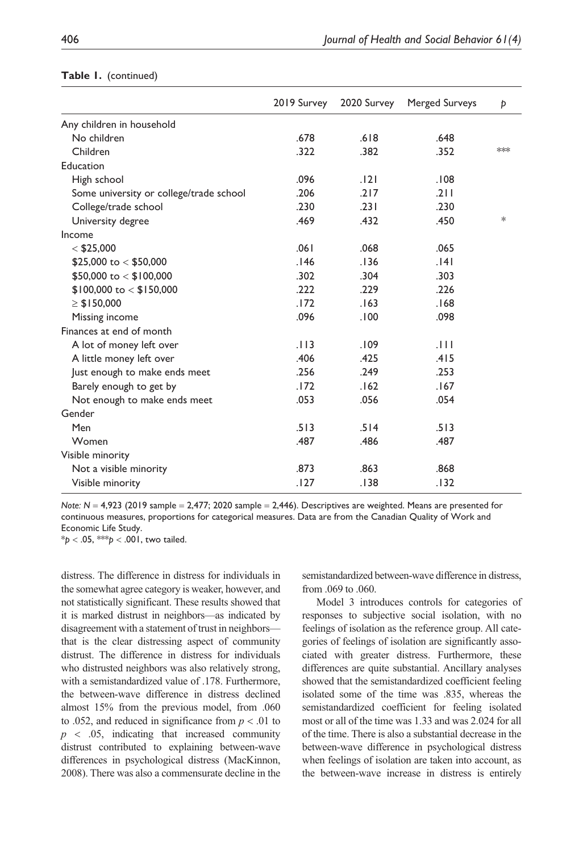#### **Table 1.** (continued)

|                                         | 2019 Survey | 2020 Survey | <b>Merged Surveys</b> | Þ      |
|-----------------------------------------|-------------|-------------|-----------------------|--------|
| Any children in household               |             |             |                       |        |
| No children                             | .678        | .618        | .648                  |        |
| Children                                | .322        | .382        | .352                  | $**$   |
| Education                               |             |             |                       |        |
| High school                             | .096        | .121        | .108                  |        |
| Some university or college/trade school | .206        | .217        | .211                  |        |
| College/trade school                    | .230        | .231        | .230                  |        |
| University degree                       | .469        | .432        | .450                  | $\ast$ |
| Income                                  |             |             |                       |        |
| $<$ \$25,000                            | .061        | .068        | .065                  |        |
| \$25,000 to $<$ \$50,000                | .146        | .136        | .141                  |        |
| \$50,000 to $<$ \$100,000               | .302        | .304        | .303                  |        |
| $$100,000$ to $<$ \$150,000             | .222        | .229        | .226                  |        |
| $\geq$ \$150,000                        | .172        | .163        | .168                  |        |
| Missing income                          | .096        | .100        | .098                  |        |
| Finances at end of month                |             |             |                       |        |
| A lot of money left over                | .113        | .109        | .HT                   |        |
| A little money left over                | .406        | .425        | .415                  |        |
| Just enough to make ends meet           | .256        | .249        | .253                  |        |
| Barely enough to get by                 | .172        | .162        | .167                  |        |
| Not enough to make ends meet            | .053        | .056        | .054                  |        |
| Gender                                  |             |             |                       |        |
| Men                                     | .513        | .514        | .513                  |        |
| Women                                   | .487        | .486        | .487                  |        |
| Visible minority                        |             |             |                       |        |
| Not a visible minority                  | .873        | .863        | .868                  |        |
| Visible minority                        | .127        | .138        | .132                  |        |

*Note: N* = 4,923 (2019 sample = 2,477; 2020 sample = 2,446). Descriptives are weighted. Means are presented for continuous measures, proportions for categorical measures. Data are from the Canadian Quality of Work and Economic Life Study.

\**p* < .05, \*\*\**p* < .001, two tailed.

distress. The difference in distress for individuals in the somewhat agree category is weaker, however, and not statistically significant. These results showed that it is marked distrust in neighbors—as indicated by disagreement with a statement of trust in neighbors that is the clear distressing aspect of community distrust. The difference in distress for individuals who distrusted neighbors was also relatively strong, with a semistandardized value of .178. Furthermore, the between-wave difference in distress declined almost 15% from the previous model, from .060 to .052, and reduced in significance from  $p < 0.01$  to *p* < .05, indicating that increased community distrust contributed to explaining between-wave differences in psychological distress (MacKinnon, 2008). There was also a commensurate decline in the semistandardized between-wave difference in distress, from .069 to .060.

Model 3 introduces controls for categories of responses to subjective social isolation, with no feelings of isolation as the reference group. All categories of feelings of isolation are significantly associated with greater distress. Furthermore, these differences are quite substantial. Ancillary analyses showed that the semistandardized coefficient feeling isolated some of the time was .835, whereas the semistandardized coefficient for feeling isolated most or all of the time was 1.33 and was 2.024 for all of the time. There is also a substantial decrease in the between-wave difference in psychological distress when feelings of isolation are taken into account, as the between-wave increase in distress is entirely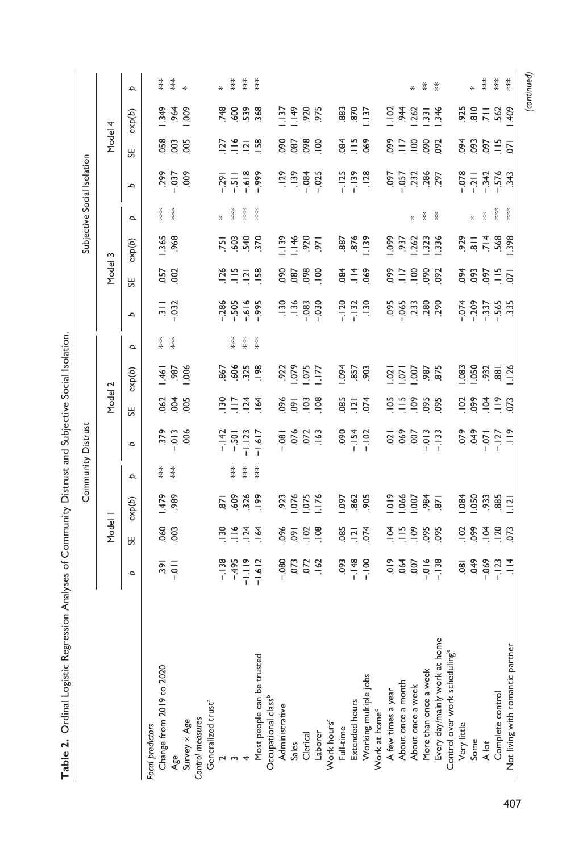|                                                    |                                       |                                              |                         |               | Community Distrust                       |                                                                        |                                                                                                   |               |                                                                |             |                                               |      | Subjective Social Isolation                         |                      |                                                         |               |
|----------------------------------------------------|---------------------------------------|----------------------------------------------|-------------------------|---------------|------------------------------------------|------------------------------------------------------------------------|---------------------------------------------------------------------------------------------------|---------------|----------------------------------------------------------------|-------------|-----------------------------------------------|------|-----------------------------------------------------|----------------------|---------------------------------------------------------|---------------|
|                                                    |                                       | Model                                        |                         |               |                                          | Yodel 2                                                                |                                                                                                   |               |                                                                | Model 3     |                                               |      |                                                     | Model 4              |                                                         |               |
|                                                    | P                                     | 55                                           | exp(b)                  | Þ             | م                                        | 55                                                                     | exp(b)                                                                                            | Þ             | م                                                              | 55          | exp(b)                                        | Þ    | م                                                   | 55                   | exp(b)                                                  | $\Delta$      |
| Focal predictors                                   |                                       |                                              |                         |               |                                          |                                                                        |                                                                                                   |               |                                                                |             |                                               |      |                                                     |                      |                                                         |               |
| Change from 2019 to 2020                           |                                       |                                              |                         | 菱             |                                          |                                                                        |                                                                                                   | $\frac{*}{*}$ |                                                                |             |                                               | 菱    |                                                     |                      |                                                         | 茶茶            |
| Age                                                | $-301$                                | 8<br>09<br>09                                | 1.479                   | 茶米            |                                          |                                                                        |                                                                                                   | 茶米            | $\frac{1}{2}$ $\frac{1}{2}$                                    | 057<br>002  | 1.365                                         | 茶米   |                                                     |                      |                                                         | 茶             |
| Survey $\times$ Age                                |                                       |                                              |                         |               | $379$<br>$-0.06$                         | 888                                                                    | $\frac{461}{980}$                                                                                 |               |                                                                |             |                                               |      | 86<br>46.93                                         | 88<br>88<br>88<br>98 | 343<br>944<br>94                                        | $\ast$        |
| Generalized trust <sup>a</sup><br>Control measures |                                       |                                              |                         |               |                                          |                                                                        |                                                                                                   |               |                                                                |             |                                               |      |                                                     |                      |                                                         |               |
|                                                    |                                       |                                              |                         |               |                                          |                                                                        |                                                                                                   |               |                                                                |             |                                               | ₩    |                                                     |                      |                                                         | $\ast$        |
|                                                    |                                       |                                              |                         | 菱             |                                          |                                                                        |                                                                                                   | 菱菜            |                                                                |             |                                               | 菱    |                                                     |                      |                                                         | $\frac{*}{*}$ |
|                                                    |                                       | $300$<br>$-124$<br>$-164$                    | 871<br>609<br>874<br>99 | 茶             |                                          | $-224$<br>$-244$                                                       | 867<br>888<br>981<br>981                                                                          | 菜             | $-286$<br>$-505$<br>$-505$<br>$-505$                           | $28 = 72$   |                                               | $**$ | $-291$<br>$-51$<br>$-618$<br>$-89$                  | 228                  | 780038                                                  | 茶茶            |
| Most people can be trusted                         | $-138$<br>$-495$<br>$-1.19$<br>$-1.2$ |                                              |                         | $\frac{*}{*}$ | $-142$<br>$-501$<br>$-1.123$<br>$-1.617$ |                                                                        |                                                                                                   | $\frac{*}{*}$ |                                                                |             |                                               | 菜    |                                                     |                      |                                                         | 菜             |
| Occupational class <sup>b</sup>                    |                                       |                                              |                         |               |                                          |                                                                        |                                                                                                   |               |                                                                |             |                                               |      |                                                     |                      |                                                         |               |
| Administrative                                     |                                       |                                              |                         |               |                                          |                                                                        |                                                                                                   |               |                                                                |             |                                               |      |                                                     |                      |                                                         |               |
| Sales                                              | $-0.073$<br>0.72<br>0.80              | 8612                                         | 325<br>075<br>176       |               | $-0.05$<br>$-0.07$<br>$-0.03$            | 8000                                                                   | 325517                                                                                            |               | $-136$<br>$-136$<br>$-030$<br>$-150$                           | 880         | $-38.5$<br>$-38.5$                            |      | $-129$<br>$-139$<br>$-025$                          | 880                  | $-388$                                                  |               |
| Clerical                                           |                                       |                                              |                         |               |                                          |                                                                        |                                                                                                   |               |                                                                |             |                                               |      |                                                     |                      |                                                         |               |
| Laborer                                            |                                       | $-108$                                       |                         |               |                                          | $rac{8}{100}$                                                          |                                                                                                   |               |                                                                | $rac{8}{1}$ |                                               |      |                                                     | $rac{8}{100}$        |                                                         |               |
| Work hours <sup>c</sup>                            |                                       |                                              |                         |               |                                          |                                                                        |                                                                                                   |               |                                                                |             |                                               |      |                                                     |                      |                                                         |               |
| Full-time                                          | $600$ .                               |                                              | <b>L60</b>              |               |                                          |                                                                        | $+60$ .                                                                                           |               |                                                                |             |                                               |      |                                                     |                      |                                                         |               |
| Extended hours                                     | $-148$<br>$-100$                      | 80 1 2 3                                     | 862<br>905              |               | $-1.102$<br>$-1.54$                      | 8074                                                                   | 857<br>903                                                                                        |               | $\frac{2}{1} \times \frac{1}{2} \times \frac{1}{2}$            | $80 - 8$    | 413<br>928<br>938                             |      | $\frac{13}{1} \frac{8}{1} \frac{8}{1}$              | $80 - 8$             | 137<br>88<br>88<br>90                                   |               |
| Working multiple jobs                              |                                       |                                              |                         |               |                                          |                                                                        |                                                                                                   |               |                                                                |             |                                               |      |                                                     |                      |                                                         |               |
| Work at home <sup>d</sup>                          |                                       |                                              |                         |               |                                          |                                                                        |                                                                                                   |               |                                                                |             |                                               |      |                                                     |                      |                                                         |               |
| A few times a year                                 | 0.800                                 | $\overline{5}$ $\overline{5}$ $\overline{5}$ |                         |               |                                          |                                                                        |                                                                                                   |               |                                                                |             |                                               |      | $60$ .                                              |                      | $rac{1}{2}$                                             |               |
| About once a month                                 |                                       |                                              |                         |               |                                          |                                                                        |                                                                                                   |               |                                                                |             |                                               |      |                                                     |                      |                                                         |               |
| About once a week                                  |                                       |                                              | $-380800$               |               |                                          | $\frac{85}{2}$ $\frac{1}{2}$ $\frac{8}{2}$ $\frac{8}{2}$ $\frac{8}{2}$ | $\frac{1}{2}$ $\frac{1}{2}$ $\frac{5}{2}$ $\frac{6}{2}$ $\frac{8}{2}$ $\frac{8}{2}$ $\frac{5}{2}$ |               |                                                                | 8220        | 85<br>85423<br>862                            |      | 52386                                               | 8220                 | $\frac{2}{3}$ $\frac{1}{2}$ $\frac{1}{2}$ $\frac{1}{2}$ |               |
| More than once a week                              | $-0.18$                               | 095                                          |                         |               | $-013$                                   |                                                                        |                                                                                                   |               |                                                                |             |                                               | 菜    |                                                     |                      |                                                         | 菜             |
| Every day/mainly work at home                      |                                       | 095                                          |                         |               |                                          |                                                                        |                                                                                                   |               |                                                                | 092         |                                               | 菜    |                                                     | 092                  |                                                         | 菜             |
| Control over work scheduling'                      |                                       |                                              |                         |               |                                          |                                                                        |                                                                                                   |               |                                                                |             |                                               |      |                                                     |                      |                                                         |               |
| Very little                                        | $\overline{8}$                        | $\overline{5}$                               |                         |               | 620                                      |                                                                        |                                                                                                   |               |                                                                |             |                                               |      |                                                     |                      |                                                         |               |
| Some                                               |                                       |                                              |                         |               |                                          |                                                                        |                                                                                                   |               |                                                                |             |                                               |      |                                                     |                      |                                                         | *             |
| A lot                                              | $349$<br>$-369$<br>$-123$<br>$-14$    | 8325                                         |                         |               | 811-127<br>221-127                       | 08890                                                                  | 888882                                                                                            |               | $-0.74$<br>$-2.00$<br>$-3.37$<br>$-5.65$<br>$-5.65$<br>$-5.85$ | 88875       | $929$<br>$-799$<br>$-799$<br>$-799$<br>$-799$ | 粪    | $-0.78$<br>$-2.42$<br>$-3.43$<br>$-5.76$<br>$-5.43$ | 88875                | $880 - 88$                                              | $\frac{*}{*}$ |
| Complete control                                   |                                       |                                              |                         |               |                                          |                                                                        |                                                                                                   |               |                                                                |             |                                               | $*$  |                                                     |                      |                                                         | $**$          |
| Not living with romantic partner                   |                                       |                                              |                         |               |                                          |                                                                        |                                                                                                   |               |                                                                |             |                                               | 菜    |                                                     |                      |                                                         | 茶菜            |
|                                                    |                                       |                                              |                         |               |                                          |                                                                        |                                                                                                   |               |                                                                |             |                                               |      |                                                     |                      |                                                         |               |

Table 2. Ordinal Logistic Regression Analyses of Community Distrust and Subjective Social Isolation. **Table 2.** Ordinal Logistic Regression Analyses of Community Distrust and Subjective Social Isolation. *(continued)*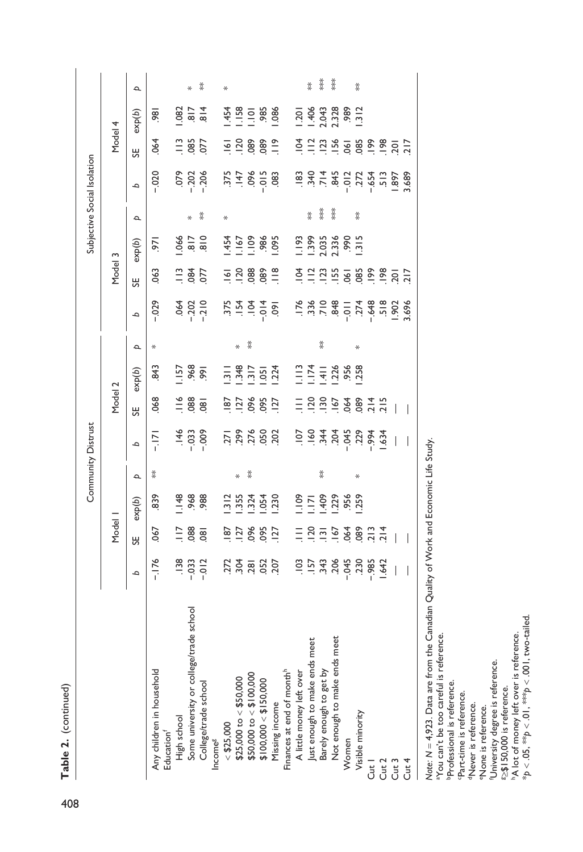Table 2. (continued) **Table 2.** (continued)

|                                                                    |                                       |                                                                                  |                    |   | Community Distrust       |                                                                            |                                             |   |                                                                                                                                             |                                                                                                                                                                         |                                                               |               | Subjective Social Isolation                                         |                                                                                                                                                                                                                                                                                                                     |                                                     |     |
|--------------------------------------------------------------------|---------------------------------------|----------------------------------------------------------------------------------|--------------------|---|--------------------------|----------------------------------------------------------------------------|---------------------------------------------|---|---------------------------------------------------------------------------------------------------------------------------------------------|-------------------------------------------------------------------------------------------------------------------------------------------------------------------------|---------------------------------------------------------------|---------------|---------------------------------------------------------------------|---------------------------------------------------------------------------------------------------------------------------------------------------------------------------------------------------------------------------------------------------------------------------------------------------------------------|-----------------------------------------------------|-----|
|                                                                    |                                       | Model                                                                            |                    |   |                          | Model 2                                                                    |                                             |   |                                                                                                                                             | Model 3                                                                                                                                                                 |                                                               |               |                                                                     | Model 4                                                                                                                                                                                                                                                                                                             |                                                     |     |
|                                                                    | م                                     | 55                                                                               | exp(b)             | Þ | م                        | 55                                                                         | exp(b)                                      | Þ | م                                                                                                                                           | 55                                                                                                                                                                      | exp(b)                                                        | Þ             | م                                                                   | 55                                                                                                                                                                                                                                                                                                                  | exp(b)                                              | Þ   |
| Any children in household<br>Education <sup>f</sup>                | $-176$                                | .067                                                                             | 839                | 菜 | -<br>--<br>--            | .068                                                                       | 843                                         | ⋇ | $-0.029$                                                                                                                                    | .063                                                                                                                                                                    | .971                                                          |               | $-0.020$                                                            | .064                                                                                                                                                                                                                                                                                                                | $-98$                                               |     |
| High school                                                        |                                       |                                                                                  |                    |   |                          |                                                                            |                                             |   |                                                                                                                                             |                                                                                                                                                                         |                                                               |               |                                                                     |                                                                                                                                                                                                                                                                                                                     |                                                     |     |
| Some university or college/trade school                            | $-138$<br>$-0.33$                     | $\frac{15}{10}$                                                                  | $148$<br>968<br>98 |   | $-146$<br>$-0.33$        | $rac{6}{1}$ $rac{8}{1}$ $rac{8}{1}$ $rac{8}{1}$                            | $-157$<br>88<br>98<br>91                    |   | 364<br>- 202<br>- 210                                                                                                                       | $-382$                                                                                                                                                                  | $rac{66}{900}$                                                | ₩             | 079<br>- 202<br>- 206                                               | $rac{28}{185}$                                                                                                                                                                                                                                                                                                      | $0.81$<br>$0.81$<br>$0.81$                          | ₩   |
| College/trade school                                               |                                       |                                                                                  |                    |   |                          |                                                                            |                                             |   |                                                                                                                                             |                                                                                                                                                                         |                                                               | $\frac{*}{*}$ |                                                                     |                                                                                                                                                                                                                                                                                                                     |                                                     | $*$ |
| Income <sup>g</sup>                                                |                                       |                                                                                  |                    |   |                          |                                                                            |                                             |   |                                                                                                                                             |                                                                                                                                                                         |                                                               |               |                                                                     |                                                                                                                                                                                                                                                                                                                     |                                                     |     |
| $<$ \$25,000                                                       |                                       |                                                                                  |                    |   |                          |                                                                            |                                             |   |                                                                                                                                             |                                                                                                                                                                         |                                                               | ⋇             |                                                                     |                                                                                                                                                                                                                                                                                                                     |                                                     | ⋇   |
| \$25,000 to < \$50,000                                             |                                       | 187<br>128817                                                                    |                    | ₩ |                          | $\frac{25}{1}$ $\frac{25}{1}$ $\frac{25}{1}$ $\frac{25}{1}$ $\frac{25}{1}$ |                                             | ₩ |                                                                                                                                             | $= 2888 =$                                                                                                                                                              | $45 - 880$<br>$45 - 880$<br>$45 - 880$                        |               |                                                                     | $= 8882$                                                                                                                                                                                                                                                                                                            |                                                     |     |
|                                                                    |                                       |                                                                                  |                    | 菜 |                          |                                                                            |                                             | 菜 |                                                                                                                                             |                                                                                                                                                                         |                                                               |               |                                                                     |                                                                                                                                                                                                                                                                                                                     |                                                     |     |
|                                                                    |                                       |                                                                                  |                    |   |                          |                                                                            |                                             |   |                                                                                                                                             |                                                                                                                                                                         |                                                               |               |                                                                     |                                                                                                                                                                                                                                                                                                                     |                                                     |     |
| \$50,000 to < \$100,000<br>\$100,000 < \$150,000<br>Missing income |                                       |                                                                                  |                    |   | 778<br>286<br>286<br>286 |                                                                            | $\frac{1311}{1348}$<br>$\frac{1317}{13124}$ |   | $37 - 9$<br>$27 - 9$<br>$27 - 9$                                                                                                            |                                                                                                                                                                         |                                                               |               | $\frac{25}{25}$ $\frac{25}{25}$ $\frac{25}{25}$                     |                                                                                                                                                                                                                                                                                                                     | $\frac{45}{30}$ = 8.88                              |     |
| Finances at end of month <sup>h</sup>                              |                                       |                                                                                  |                    |   |                          |                                                                            |                                             |   |                                                                                                                                             |                                                                                                                                                                         |                                                               |               |                                                                     |                                                                                                                                                                                                                                                                                                                     |                                                     |     |
| A little money left over                                           |                                       |                                                                                  |                    |   |                          |                                                                            |                                             |   |                                                                                                                                             |                                                                                                                                                                         |                                                               |               |                                                                     |                                                                                                                                                                                                                                                                                                                     |                                                     |     |
| Just enough to make ends meet                                      |                                       |                                                                                  |                    |   |                          |                                                                            |                                             |   |                                                                                                                                             |                                                                                                                                                                         |                                                               | 糞             |                                                                     |                                                                                                                                                                                                                                                                                                                     |                                                     | 菜   |
| Barely enough to get by                                            |                                       |                                                                                  |                    | 菜 |                          |                                                                            |                                             | 菜 |                                                                                                                                             |                                                                                                                                                                         |                                                               | 茶             |                                                                     |                                                                                                                                                                                                                                                                                                                     |                                                     | 茶   |
| Not enough to make ends meet                                       |                                       |                                                                                  |                    |   |                          |                                                                            | $774$ $774$ $788$<br>$774$ $788$            |   |                                                                                                                                             |                                                                                                                                                                         | $1.193$<br>$1.395$<br>$2.336$<br>$3.336$<br>$3.15$<br>$1.315$ | 茶菜            |                                                                     |                                                                                                                                                                                                                                                                                                                     | $1.201$<br>$1.406$<br>$2.328$<br>$2.328$<br>$1.312$ | 菜   |
| Women                                                              |                                       |                                                                                  |                    |   |                          |                                                                            |                                             |   |                                                                                                                                             |                                                                                                                                                                         |                                                               |               |                                                                     |                                                                                                                                                                                                                                                                                                                     |                                                     |     |
| Visible minority                                                   |                                       | $= 2 \times 10 = 28$<br>$= 25$<br>$= 25$<br>$= 25$<br>$= 25$<br>$= 25$<br>$= 25$ |                    | ⋇ |                          | $= 8824874$                                                                |                                             | ⋇ | $-15.8$<br>$-15.8$<br>$-15.8$<br>$-15.8$<br>$-15.8$<br>$-15.8$<br>$-15.8$<br>$-15.8$<br>$-15.8$<br>$-15.8$<br>$-15.8$<br>$-15.8$<br>$-15.8$ | $\frac{3}{2}$ $\frac{1}{2}$ $\frac{1}{2}$ $\frac{1}{2}$ $\frac{3}{2}$ $\frac{3}{2}$ $\frac{8}{2}$ $\frac{8}{2}$ $\frac{8}{2}$ $\frac{1}{2}$ $\frac{1}{2}$ $\frac{1}{2}$ |                                                               | 菜             | $-3.89$<br>$-3.747$<br>$-3.747$<br>$-3.699$<br>$-3.699$<br>$-3.699$ | $\frac{1}{2}$ $\frac{1}{2}$ $\frac{1}{2}$ $\frac{1}{2}$ $\frac{1}{2}$ $\frac{1}{2}$ $\frac{1}{2}$ $\frac{1}{2}$ $\frac{1}{2}$ $\frac{1}{2}$ $\frac{1}{2}$ $\frac{1}{2}$ $\frac{1}{2}$ $\frac{1}{2}$ $\frac{1}{2}$ $\frac{1}{2}$ $\frac{1}{2}$ $\frac{1}{2}$ $\frac{1}{2}$ $\frac{1}{2}$ $\frac{1}{2}$ $\frac{1}{2}$ |                                                     | 菜   |
| Cut I                                                              |                                       |                                                                                  |                    |   |                          |                                                                            |                                             |   |                                                                                                                                             |                                                                                                                                                                         |                                                               |               |                                                                     |                                                                                                                                                                                                                                                                                                                     |                                                     |     |
| Cut 2                                                              |                                       |                                                                                  |                    |   |                          |                                                                            |                                             |   |                                                                                                                                             |                                                                                                                                                                         |                                                               |               |                                                                     |                                                                                                                                                                                                                                                                                                                     |                                                     |     |
| Cut 3                                                              | $\begin{array}{c} \hline \end{array}$ | $\overline{1}$                                                                   |                    |   | $\overline{\phantom{a}}$ | $\overline{\phantom{a}}$                                                   |                                             |   |                                                                                                                                             |                                                                                                                                                                         |                                                               |               |                                                                     |                                                                                                                                                                                                                                                                                                                     |                                                     |     |
| Cut 4                                                              | $\overline{\phantom{a}}$              |                                                                                  |                    |   | $\overline{\phantom{a}}$ |                                                                            |                                             |   |                                                                                                                                             |                                                                                                                                                                         |                                                               |               |                                                                     |                                                                                                                                                                                                                                                                                                                     |                                                     |     |

Note: N = 4,923. Data are from the Canadian Quality of Work and Economic Life Study.<br>"You can't be too careful is reference. *Note: N* = 4,923. Data are from the Canadian Quality of Work and Economic Life Study.

aYou can't be too careful is reference.

<sup>b</sup>Professional is reference. bProfessional is reference.

Part-time is reference. cPart-time is reference.

<sup>d</sup>Never is reference. dNever is reference.

<sup>e</sup>None is reference. eNone is reference.

<sup>f</sup>University degree is reference.<br><sup>8</sup>2\$150,000 is reference. fUniversity degree is reference.

§≥\$150,000 is reference.

"A lot of money left over is reference.<br>\* $p < .05$ , \*\* $p < .01$ , \*\*\* $p < .001$ , two-tailed. \**p* < .05, \*\**p* < .01, \*\*\**p* < .001, two-tailed. hA lot of money left over is reference.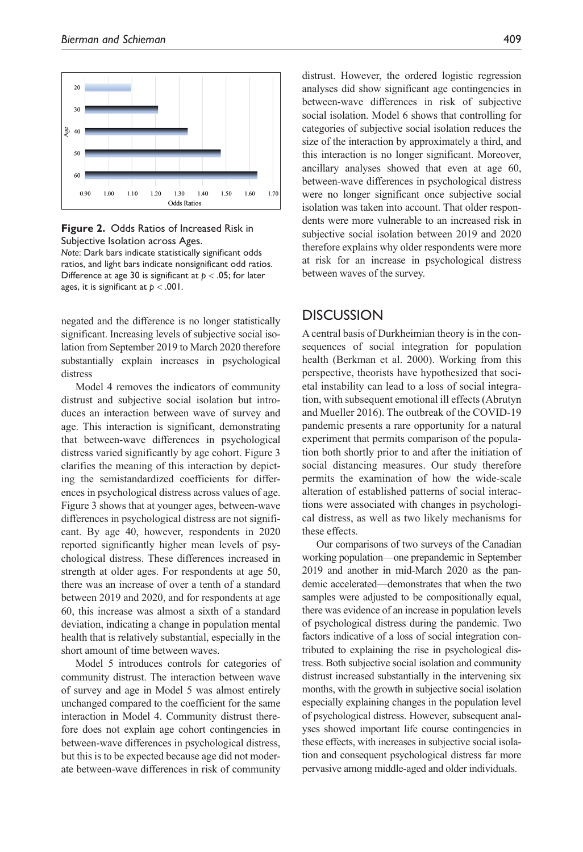

**Figure 2.** Odds Ratios of Increased Risk in Subjective Isolation across Ages. *Note*: Dark bars indicate statistically significant odds ratios, and light bars indicate nonsignificant odd ratios. Difference at age 30 is significant at *p* < .05; for later ages, it is significant at *p* < .001.

negated and the difference is no longer statistically significant. Increasing levels of subjective social isolation from September 2019 to March 2020 therefore substantially explain increases in psychological distress

Model 4 removes the indicators of community distrust and subjective social isolation but introduces an interaction between wave of survey and age. This interaction is significant, demonstrating that between-wave differences in psychological distress varied significantly by age cohort. Figure 3 clarifies the meaning of this interaction by depicting the semistandardized coefficients for differences in psychological distress across values of age. Figure 3 shows that at younger ages, between-wave differences in psychological distress are not significant. By age 40, however, respondents in 2020 reported significantly higher mean levels of psychological distress. These differences increased in strength at older ages. For respondents at age 50, there was an increase of over a tenth of a standard between 2019 and 2020, and for respondents at age 60, this increase was almost a sixth of a standard deviation, indicating a change in population mental health that is relatively substantial, especially in the short amount of time between waves.

Model 5 introduces controls for categories of community distrust. The interaction between wave of survey and age in Model 5 was almost entirely unchanged compared to the coefficient for the same interaction in Model 4. Community distrust therefore does not explain age cohort contingencies in between-wave differences in psychological distress, but this is to be expected because age did not moderate between-wave differences in risk of community distrust. However, the ordered logistic regression analyses did show significant age contingencies in between-wave differences in risk of subjective social isolation. Model 6 shows that controlling for categories of subjective social isolation reduces the size of the interaction by approximately a third, and this interaction is no longer significant. Moreover, ancillary analyses showed that even at age 60, between-wave differences in psychological distress were no longer significant once subjective social isolation was taken into account. That older respondents were more vulnerable to an increased risk in subjective social isolation between 2019 and 2020 therefore explains why older respondents were more at risk for an increase in psychological distress between waves of the survey.

### **DISCUSSION**

A central basis of Durkheimian theory is in the consequences of social integration for population health (Berkman et al. 2000). Working from this perspective, theorists have hypothesized that societal instability can lead to a loss of social integration, with subsequent emotional ill effects (Abrutyn and Mueller 2016). The outbreak of the COVID-19 pandemic presents a rare opportunity for a natural experiment that permits comparison of the population both shortly prior to and after the initiation of social distancing measures. Our study therefore permits the examination of how the wide-scale alteration of established patterns of social interactions were associated with changes in psychological distress, as well as two likely mechanisms for these effects.

Our comparisons of two surveys of the Canadian working population—one prepandemic in September 2019 and another in mid-March 2020 as the pandemic accelerated—demonstrates that when the two samples were adjusted to be compositionally equal, there was evidence of an increase in population levels of psychological distress during the pandemic. Two factors indicative of a loss of social integration contributed to explaining the rise in psychological distress. Both subjective social isolation and community distrust increased substantially in the intervening six months, with the growth in subjective social isolation especially explaining changes in the population level of psychological distress. However, subsequent analyses showed important life course contingencies in these effects, with increases in subjective social isolation and consequent psychological distress far more pervasive among middle-aged and older individuals.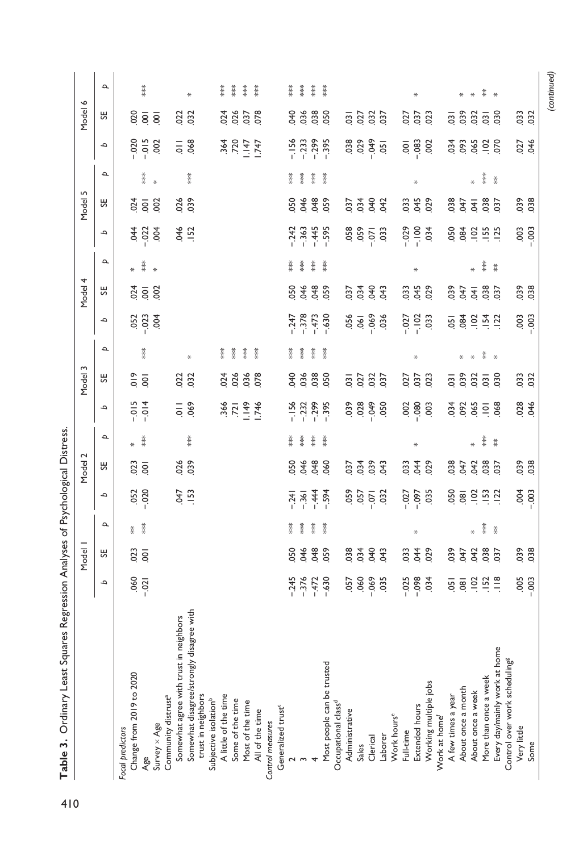|                                           |                                                                                                   | Model  |               |                                           | Model 2    |               |                                      | Model 3              |              |                                                                       | Model 4                                   |                 |                                            | Model 5                                   |               |                                           | Model 6                                                               |               |
|-------------------------------------------|---------------------------------------------------------------------------------------------------|--------|---------------|-------------------------------------------|------------|---------------|--------------------------------------|----------------------|--------------|-----------------------------------------------------------------------|-------------------------------------------|-----------------|--------------------------------------------|-------------------------------------------|---------------|-------------------------------------------|-----------------------------------------------------------------------|---------------|
|                                           | م                                                                                                 | ЯS     | $\mathbf{p}$  | م                                         | ЯŚ         | $\mathbf{p}$  | P                                    | ЯŚ                   | $\mathbf{p}$ | م                                                                     | ЯŚ                                        | $\mathbf{p}$    | q                                          | ΨŚ                                        | $\mathbf{p}$  | P                                         | ЯŚ                                                                    | Þ             |
| Focal predictors                          |                                                                                                   |        |               |                                           |            |               |                                      |                      |              |                                                                       |                                           |                 |                                            |                                           |               |                                           |                                                                       |               |
| Change from 2019 to 2020                  | $-060$                                                                                            | 00000  | $*$           | $.052 - .020$                             | 00000      | $\ast$        | $-0.5$<br>$-0.4$                     | $rac{6}{9}$          |              |                                                                       |                                           |                 | $-0.022$                                   |                                           |               |                                           |                                                                       |               |
| Age                                       |                                                                                                   |        | $\frac{*}{*}$ |                                           |            | $**$          |                                      |                      | 菱            | <b>952</b><br>1953<br>1974                                            | $\frac{5}{9}$ $\frac{6}{9}$ $\frac{6}{9}$ | 蓁               |                                            | $\frac{5}{9}$ $\frac{6}{9}$ $\frac{6}{9}$ | **            | $-0.02$                                   | $\frac{5}{9}$ $\frac{6}{9}$ $\frac{6}{9}$                             | ***           |
| Survey × Age                              |                                                                                                   |        |               |                                           |            |               |                                      |                      |              |                                                                       |                                           | $\ast$          | $-004$                                     |                                           | $\ast$        |                                           |                                                                       |               |
| Community distrust <sup>a</sup>           |                                                                                                   |        |               |                                           |            |               |                                      |                      |              |                                                                       |                                           |                 |                                            |                                           |               |                                           |                                                                       |               |
| Somewhat agree with trust in neighbors    |                                                                                                   |        |               | 047<br>153                                | 026<br>039 |               | $rac{1}{2}$                          | 022                  |              |                                                                       |                                           |                 | .152                                       | 0.026                                     |               | $rac{1}{2}$                               | 022                                                                   |               |
| Somewhat disagree/strongly disagree with  |                                                                                                   |        |               |                                           |            | 茶菜            |                                      |                      | ⋇            |                                                                       |                                           |                 |                                            |                                           | $\frac{3}{8}$ |                                           |                                                                       |               |
| trust in neighbors                        |                                                                                                   |        |               |                                           |            |               |                                      |                      |              |                                                                       |                                           |                 |                                            |                                           |               |                                           |                                                                       |               |
| Subjective isolation <sup>b</sup>         |                                                                                                   |        |               |                                           |            |               |                                      |                      |              |                                                                       |                                           |                 |                                            |                                           |               |                                           |                                                                       |               |
| A little of the time                      |                                                                                                   |        |               |                                           |            |               |                                      |                      | 茶            |                                                                       |                                           |                 |                                            |                                           |               |                                           |                                                                       | **            |
| Some of the time                          |                                                                                                   |        |               |                                           |            |               |                                      |                      | 茶            |                                                                       |                                           |                 |                                            |                                           |               |                                           |                                                                       | $*$           |
| Most of the time                          |                                                                                                   |        |               |                                           |            |               | $365 + 746$<br>$-149$                |                      | 葦            |                                                                       |                                           |                 |                                            |                                           |               | $750$<br>$750$<br>$750$<br>$750$<br>$750$ | 024<br>026<br>037<br>078                                              | $\frac{*}{2}$ |
| All of the time                           |                                                                                                   |        |               |                                           |            |               |                                      |                      | 萘            |                                                                       |                                           |                 |                                            |                                           |               |                                           |                                                                       | ***           |
| Control measures                          |                                                                                                   |        |               |                                           |            |               |                                      |                      |              |                                                                       |                                           |                 |                                            |                                           |               |                                           |                                                                       |               |
| Generalized trust <sup>c</sup>            |                                                                                                   |        |               |                                           |            |               |                                      |                      |              |                                                                       |                                           |                 |                                            |                                           |               |                                           |                                                                       |               |
|                                           |                                                                                                   |        | ***           |                                           |            | **            |                                      |                      | 萘            |                                                                       |                                           | 茶米              |                                            |                                           | 菜米            |                                           |                                                                       | ***           |
|                                           | $-245$<br>$-376$<br>$-376$<br>$-30$<br>$-30$                                                      | 360    | **            | $-24$<br>$-34$<br>$-48$<br>$-48$<br>$-58$ | 5, 4, 8, 8 | $\frac{*}{2}$ | $-156$<br>$-232$<br>$-299$<br>$-395$ | 8880                 | 蒌            | $-247$<br>$-378$<br>$-473$<br>$-630$                                  | 050<br>046                                | 茶米              | $-242$<br>$-363$                           | $rac{36}{36}$                             | 茶米            | $-156$<br>$-233$                          | 8888                                                                  | ***           |
|                                           |                                                                                                   |        | $**$          |                                           |            | **            |                                      |                      | 薹            |                                                                       |                                           | $* \frac{1}{2}$ |                                            |                                           | $**$          |                                           |                                                                       | $**$          |
| Most people can be trusted                |                                                                                                   | 880.0  | ***           |                                           |            | **            |                                      |                      | 萘            |                                                                       | 0.59                                      | 菜               | $-145$<br>$-1595$                          | 048<br>059                                | $*$           | $-299$<br>$-395$                          |                                                                       | **            |
| Occupational class <sup>d</sup>           |                                                                                                   |        |               |                                           |            |               |                                      |                      |              |                                                                       |                                           |                 |                                            |                                           |               |                                           |                                                                       |               |
| Administrative                            |                                                                                                   |        |               |                                           |            |               |                                      |                      |              |                                                                       |                                           |                 |                                            |                                           |               |                                           |                                                                       |               |
| Sales                                     |                                                                                                   |        |               |                                           |            |               |                                      |                      |              |                                                                       | <b>150</b><br>250                         |                 |                                            | $037$<br>$034$                            |               |                                           | $\frac{1}{2}$ $\frac{5}{2}$ $\frac{3}{2}$ $\frac{3}{2}$ $\frac{5}{2}$ |               |
| Clerical                                  |                                                                                                   |        |               |                                           |            |               |                                      |                      |              |                                                                       | 643                                       |                 |                                            |                                           |               |                                           |                                                                       |               |
| Laborer                                   | 550<br>690.<br>150.                                                                               | 33483  |               | 35<br>125<br>125<br>135                   | 53383      |               | $039$<br>$039$<br>$050$<br>$050$     | 3333                 |              | 86<br>89.08.<br>98.03.                                                |                                           |                 | 88<br>1705<br>1705<br>1703                 | 342                                       |               | 88<br>88<br>98<br>98<br>98<br>98          |                                                                       |               |
| Work hours <sup>e</sup>                   |                                                                                                   |        |               |                                           |            |               |                                      |                      |              |                                                                       |                                           |                 |                                            |                                           |               |                                           |                                                                       |               |
| Full-time                                 | $-0.034$                                                                                          | 348    |               | $-027$<br>$-097$<br>$035$                 | 348        |               | $000 - 000$                          | 027<br>037<br>023    |              | $-027$<br>$-102$<br>$033$                                             |                                           |                 | $-029$<br>$-100$<br>$-034$                 |                                           |               | $001$<br>$-003$<br>$002$                  |                                                                       |               |
| Extended hours                            |                                                                                                   |        | ⋇             |                                           |            | ⋇             |                                      |                      | ⋇            |                                                                       | 338                                       | ⋇               |                                            | 338                                       | ⋇             |                                           | 27<br>28<br>29<br>29                                                  |               |
| Working multiple jobs                     |                                                                                                   |        |               |                                           |            |               |                                      |                      |              |                                                                       |                                           |                 |                                            |                                           |               |                                           |                                                                       |               |
| Work at home <sup>f</sup>                 |                                                                                                   |        |               |                                           |            |               |                                      |                      |              |                                                                       |                                           |                 |                                            |                                           |               |                                           |                                                                       |               |
| A few times a year                        |                                                                                                   |        |               |                                           |            |               |                                      |                      |              |                                                                       | 039                                       |                 |                                            |                                           |               |                                           |                                                                       |               |
| About once a month                        | $\frac{1}{2}$ $\frac{1}{2}$ $\frac{1}{2}$ $\frac{1}{2}$ $\frac{1}{2}$ $\frac{1}{2}$ $\frac{1}{2}$ | 855882 |               | 58000000000000                            |            |               |                                      | $-0.39$              | ⋇            | $\frac{5}{8}$ $\frac{2}{8}$ $\frac{1}{8}$ $\frac{1}{4}$ $\frac{1}{2}$ | 047                                       |                 | 0.84                                       | L#0<br>8E0                                |               | 38990                                     | $\frac{1}{3}$ $\frac{3}{3}$ $\frac{3}{3}$ $\frac{3}{3}$ $\frac{3}{3}$ | ⋇             |
| About once a week                         |                                                                                                   |        | ∗             |                                           |            | $\ast$        |                                      |                      | ₩            |                                                                       | $\overline{4}$                            | *               |                                            |                                           |               |                                           |                                                                       | $\ast$        |
| More than once a week                     |                                                                                                   |        | $\frac{1}{2}$ |                                           |            | 粪粪            |                                      |                      | 葊            |                                                                       |                                           | 菜米              |                                            |                                           | $\frac{3}{2}$ |                                           |                                                                       | 菜米            |
| Every day/mainly work at home             |                                                                                                   |        | $*$           |                                           |            |               | $3489 = 8$                           | 32<br>33<br>33<br>33 | $*$          |                                                                       | <b>250</b><br>280                         | $*$             | $\frac{5}{1}$ $\frac{15}{1}$ $\frac{5}{1}$ | 41<br>88<br>937                           | $*$           |                                           |                                                                       |               |
| Control over work scheduling <sup>6</sup> |                                                                                                   |        |               |                                           |            |               |                                      |                      |              |                                                                       |                                           |                 |                                            |                                           |               |                                           |                                                                       |               |
| Very little                               | $-0.003$                                                                                          | 038    |               | $600 - 000$                               | 038        |               | 028<br>046                           | 032                  |              | $-0.003$                                                              | 850<br>038                                |                 | $-0.003$                                   | <b>650</b><br>650                         |               | 027<br>046                                | 032<br>032                                                            |               |
| Some                                      |                                                                                                   |        |               |                                           |            |               |                                      |                      |              |                                                                       |                                           |                 |                                            |                                           |               |                                           |                                                                       |               |
|                                           |                                                                                                   |        |               |                                           |            |               |                                      |                      |              |                                                                       |                                           |                 |                                            |                                           |               |                                           |                                                                       |               |

*(continued)*

Table 3. Ordinary Least Squares Regression Analyses of Psychological Distress.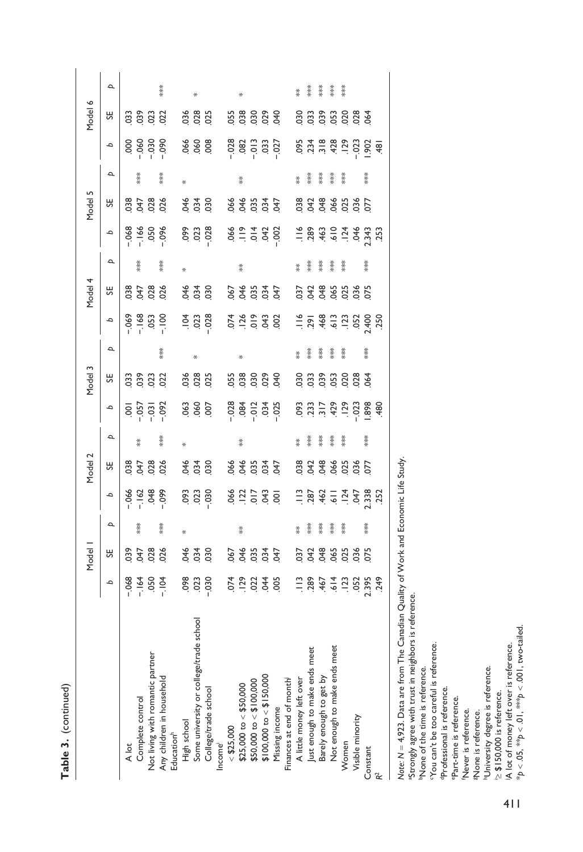Table 3. (continued) **Table 3.** (continued)

|         | Þ  |        |                   |                                                  | 茶菜                        |                        |             |                                                                                       |                      |                     |            |                        |                                                             |                |                          | 菜                        | 茶菜                            | ***                     | **                           | 茶茶                                                                    |                  |                |                |
|---------|----|--------|-------------------|--------------------------------------------------|---------------------------|------------------------|-------------|---------------------------------------------------------------------------------------|----------------------|---------------------|------------|------------------------|-------------------------------------------------------------|----------------|--------------------------|--------------------------|-------------------------------|-------------------------|------------------------------|-----------------------------------------------------------------------|------------------|----------------|----------------|
|         | ₩  |        |                   |                                                  |                           |                        |             | ⋇                                                                                     |                      |                     |            |                        |                                                             |                |                          |                          |                               |                         |                              |                                                                       |                  |                |                |
| Model   |    |        |                   | 8<br>8<br>8<br>8<br>8<br>8                       | .022                      |                        |             | 38<br>38<br>38                                                                        |                      |                     |            |                        | 53888                                                       |                |                          |                          |                               |                         |                              | 8888888                                                               |                  |                |                |
|         | م  |        |                   | 88888<br>889                                     |                           |                        |             | 88<br>98<br>98                                                                        |                      |                     |            |                        | 028<br>082<br>083<br>082<br>082                             |                |                          |                          |                               |                         |                              | $5.3 \div 2.3$<br>$5.3 \div 2.3$<br>$5.3$                             |                  |                | $\frac{48}{5}$ |
|         | م  |        | 茶茶茶               |                                                  | ***                       |                        |             |                                                                                       |                      |                     |            | $*$                    |                                                             |                |                          | $*$                      | 茶米                            | 菜米                      | 茶米                           | 菜米                                                                    |                  | ***            |                |
| Model 5 | 55 | 38     |                   | 0.07                                             | .026                      |                        |             | 8400                                                                                  |                      |                     |            |                        | 888822                                                      |                |                          |                          |                               |                         |                              | 8838888                                                               |                  | 57             |                |
|         | م  |        |                   | 8800                                             | $-096$                    |                        |             | 88<br>023<br>028                                                                      |                      |                     |            |                        | $80 = 780$                                                  |                |                          |                          | $rac{6}{1}$ $rac{8}{2}$       |                         |                              | $4.92447$<br>$4.92447$<br>$4.943$<br>$4.933$                          |                  |                |                |
|         | م  |        | 菜                 |                                                  | 茶茶                        |                        |             |                                                                                       |                      |                     |            | $*$                    |                                                             |                |                          | ₩                        | 菜米                            | 茶米                      | 茶米                           | 菜米                                                                    |                  | ***            |                |
| Model 4 | ₩  | 038    |                   | 047<br>028                                       | .026                      |                        |             | 8400                                                                                  |                      |                     |            |                        | <b>S</b> 8 8 8 9 9                                          |                |                          |                          |                               |                         |                              | 03389385                                                              |                  |                |                |
|         | م  | .069   |                   | $\frac{168}{053}$                                | $rac{5}{1}$               |                        |             | $= 5.58$                                                                              |                      |                     |            |                        | $\vec{z}$ $\vec{z}$ $\vec{z}$ $\vec{z}$ $\vec{z}$ $\vec{z}$ |                |                          |                          |                               |                         |                              | $= 88.28$ $= 8.88$                                                    |                  |                |                |
|         | Þ  |        |                   |                                                  | 茶茶                        |                        |             | ∗                                                                                     |                      |                     |            | ⋇                      |                                                             |                |                          | ≵                        | 菜                             | 菱                       | 茶                            | 菜                                                                     |                  | 茶              |                |
| Model 3 | ₩  | 33     | .039              | .023                                             | .022                      |                        |             | 38<br>38<br>38                                                                        |                      |                     |            |                        | 53888                                                       |                |                          | 030                      | 33                            | 850<br>053              |                              | 020                                                                   | 028              | $\overline{6}$ |                |
|         | م  | S.     | $-0.5$            | $-03$                                            | $-0.92$                   |                        |             | 2<br>2<br>2<br>2<br>2<br>2<br>2<br>2<br>2<br>2<br>2<br>2<br>2<br>2<br>2<br>2<br>2<br> |                      |                     |            |                        | $-0.88$<br>$-0.34$<br>$-0.35$<br>$-0.55$                    |                |                          |                          | $8.3 \div 5.3$                |                         |                              |                                                                       | $-129$<br>$-023$ | 898            | 480            |
|         | م  |        | 菜                 |                                                  | ***                       |                        |             |                                                                                       |                      |                     |            | 菜                      |                                                             |                |                          | 菜                        | 茶菜                            | ***                     | ***                          | 茶菜                                                                    |                  | ***            |                |
| Model 2 | ₩  | 38     | G <sub>7</sub> 0. | 028                                              | .026                      |                        |             | 8400                                                                                  |                      |                     |            |                        |                                                             |                |                          | 38                       |                               |                         |                              | 38880                                                                 | 036              | 57             |                |
|         | م  | $-066$ | $-162$            | 648                                              | $-0.099$                  |                        |             |                                                                                       |                      |                     |            |                        | $8\frac{1}{2}$ $\frac{5}{2}$ $\frac{4}{3}$                  | $\overline{5}$ |                          |                          | $\frac{1}{2}$ 82              |                         |                              | $\frac{4}{3} = \frac{1}{4}$ $\frac{5}{3}$ $\frac{8}{3}$ $\frac{5}{3}$ |                  |                |                |
|         | م  |        | 茶茶茶               |                                                  | ***                       |                        |             |                                                                                       |                      |                     |            | 菜                      |                                                             |                |                          | ⋇                        | 菜米                            | 茶米                      | 茶米                           | 茶米                                                                    |                  | ***            |                |
| Model   | ₩  | 039    |                   | 6000                                             | .026                      |                        |             | 2400                                                                                  |                      |                     |            |                        |                                                             |                |                          |                          |                               |                         |                              | 5489385                                                               |                  |                |                |
|         | م  |        |                   | $rac{66}{3}$ $rac{1}{3}$ $rac{6}{3}$ $rac{1}{5}$ |                           |                        |             |                                                                                       |                      |                     |            |                        |                                                             | 23328          |                          |                          |                               |                         |                              |                                                                       |                  |                |                |
|         |    |        |                   |                                                  |                           |                        |             |                                                                                       |                      |                     |            |                        |                                                             |                |                          |                          |                               |                         |                              |                                                                       |                  |                |                |
|         |    | A lot  | Complete control  | Not living with romantic partner                 | Any children in household | Education <sup>h</sup> | High school | Some university or college/trade school                                               | College/trade school | Income <sup>i</sup> | < \$25,000 | \$25,000 to < \$50,000 | $$50,000 to < $100,000$<br>$$100,000 to < $150,000$         | Missing income | Finances at end of month | A little money left over | Just enough to make ends meet | Barely enough to get by | Not enough to make ends meet | Women                                                                 | Visible minority | Constant       |                |

Note: N = 4,923. Data are from The Canadian Quality of Work and Economic Life Study. *Note: N* = 4,923. Data are from The Canadian Quality of Work and Economic Life Study.

<sup>a</sup>Strongly agree with trust in neighbors is reference. aStrongly agree with trust in neighbors is reference.

'You can't be too careful is reference. cYou can't be too careful is reference. bNone of the time is reference. bNone of the time is reference.

<sup>d</sup>Professional is reference. dProfessional is reference.

ePart-time is reference. ePart-time is reference.

fNever is reference. fNever is reference.

<sup>8</sup>None is reference. gNone is reference.

<sup>h</sup>University degree is reference. hUniversity degree is reference.

> \$150,000 is reference. i≥ \$150,000 is reference.

 $A$  lot of money left over is reference.<br>\* $p < .05$ , \*\* $p < .01$ , \*\*\* $p < .001$ , two-tailed. jA lot of money left over is reference.

\**p* < .05, \*\**p* < .01, \*\*\**p* < .001, two-tailed.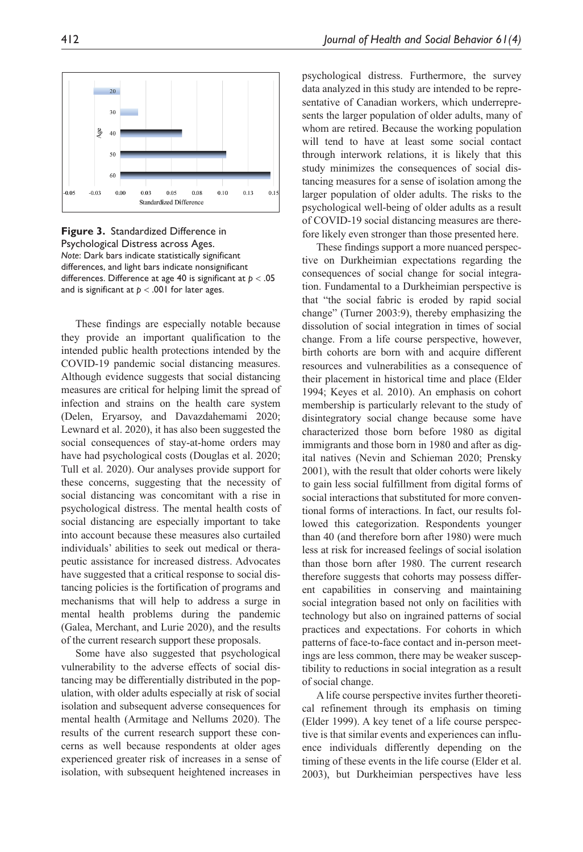

**Figure 3.** Standardized Difference in Psychological Distress across Ages. *Note*: Dark bars indicate statistically significant differences, and light bars indicate nonsignificant differences. Difference at age 40 is significant at *p* < .05 and is significant at  $p < .001$  for later ages.

These findings are especially notable because they provide an important qualification to the intended public health protections intended by the COVID-19 pandemic social distancing measures. Although evidence suggests that social distancing measures are critical for helping limit the spread of infection and strains on the health care system (Delen, Eryarsoy, and Davazdahemami 2020; Lewnard et al. 2020), it has also been suggested the social consequences of stay-at-home orders may have had psychological costs (Douglas et al. 2020; Tull et al. 2020). Our analyses provide support for these concerns, suggesting that the necessity of social distancing was concomitant with a rise in psychological distress. The mental health costs of social distancing are especially important to take into account because these measures also curtailed individuals' abilities to seek out medical or therapeutic assistance for increased distress. Advocates have suggested that a critical response to social distancing policies is the fortification of programs and mechanisms that will help to address a surge in mental health problems during the pandemic (Galea, Merchant, and Lurie 2020), and the results of the current research support these proposals.

Some have also suggested that psychological vulnerability to the adverse effects of social distancing may be differentially distributed in the population, with older adults especially at risk of social isolation and subsequent adverse consequences for mental health (Armitage and Nellums 2020). The results of the current research support these concerns as well because respondents at older ages experienced greater risk of increases in a sense of isolation, with subsequent heightened increases in

psychological distress. Furthermore, the survey data analyzed in this study are intended to be representative of Canadian workers, which underrepresents the larger population of older adults, many of whom are retired. Because the working population will tend to have at least some social contact through interwork relations, it is likely that this study minimizes the consequences of social distancing measures for a sense of isolation among the larger population of older adults. The risks to the psychological well-being of older adults as a result of COVID-19 social distancing measures are therefore likely even stronger than those presented here.

These findings support a more nuanced perspective on Durkheimian expectations regarding the consequences of social change for social integration. Fundamental to a Durkheimian perspective is that "the social fabric is eroded by rapid social change" (Turner 2003:9), thereby emphasizing the dissolution of social integration in times of social change. From a life course perspective, however, birth cohorts are born with and acquire different resources and vulnerabilities as a consequence of their placement in historical time and place (Elder 1994; Keyes et al. 2010). An emphasis on cohort membership is particularly relevant to the study of disintegratory social change because some have characterized those born before 1980 as digital immigrants and those born in 1980 and after as digital natives (Nevin and Schieman 2020; Prensky 2001), with the result that older cohorts were likely to gain less social fulfillment from digital forms of social interactions that substituted for more conventional forms of interactions. In fact, our results followed this categorization. Respondents younger than 40 (and therefore born after 1980) were much less at risk for increased feelings of social isolation than those born after 1980. The current research therefore suggests that cohorts may possess different capabilities in conserving and maintaining social integration based not only on facilities with technology but also on ingrained patterns of social practices and expectations. For cohorts in which patterns of face-to-face contact and in-person meetings are less common, there may be weaker susceptibility to reductions in social integration as a result of social change.

A life course perspective invites further theoretical refinement through its emphasis on timing (Elder 1999). A key tenet of a life course perspective is that similar events and experiences can influence individuals differently depending on the timing of these events in the life course (Elder et al. 2003), but Durkheimian perspectives have less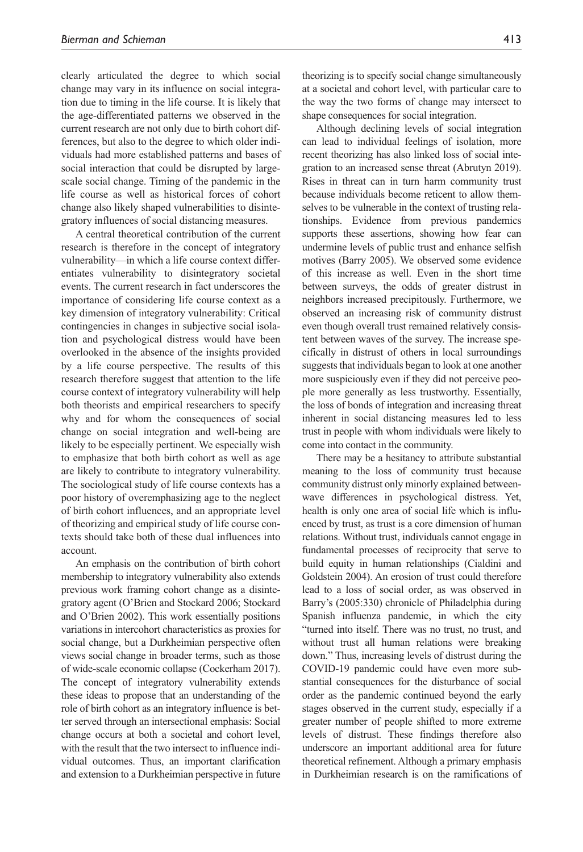clearly articulated the degree to which social change may vary in its influence on social integration due to timing in the life course. It is likely that the age-differentiated patterns we observed in the current research are not only due to birth cohort differences, but also to the degree to which older individuals had more established patterns and bases of social interaction that could be disrupted by largescale social change. Timing of the pandemic in the life course as well as historical forces of cohort change also likely shaped vulnerabilities to disintegratory influences of social distancing measures.

A central theoretical contribution of the current research is therefore in the concept of integratory vulnerability—in which a life course context differentiates vulnerability to disintegratory societal events. The current research in fact underscores the importance of considering life course context as a key dimension of integratory vulnerability: Critical contingencies in changes in subjective social isolation and psychological distress would have been overlooked in the absence of the insights provided by a life course perspective. The results of this research therefore suggest that attention to the life course context of integratory vulnerability will help both theorists and empirical researchers to specify why and for whom the consequences of social change on social integration and well-being are likely to be especially pertinent. We especially wish to emphasize that both birth cohort as well as age are likely to contribute to integratory vulnerability. The sociological study of life course contexts has a poor history of overemphasizing age to the neglect of birth cohort influences, and an appropriate level of theorizing and empirical study of life course contexts should take both of these dual influences into account.

An emphasis on the contribution of birth cohort membership to integratory vulnerability also extends previous work framing cohort change as a disintegratory agent (O'Brien and Stockard 2006; Stockard and O'Brien 2002). This work essentially positions variations in intercohort characteristics as proxies for social change, but a Durkheimian perspective often views social change in broader terms, such as those of wide-scale economic collapse (Cockerham 2017). The concept of integratory vulnerability extends these ideas to propose that an understanding of the role of birth cohort as an integratory influence is better served through an intersectional emphasis: Social change occurs at both a societal and cohort level, with the result that the two intersect to influence individual outcomes. Thus, an important clarification and extension to a Durkheimian perspective in future theorizing is to specify social change simultaneously at a societal and cohort level, with particular care to the way the two forms of change may intersect to shape consequences for social integration.

Although declining levels of social integration can lead to individual feelings of isolation, more recent theorizing has also linked loss of social integration to an increased sense threat (Abrutyn 2019). Rises in threat can in turn harm community trust because individuals become reticent to allow themselves to be vulnerable in the context of trusting relationships. Evidence from previous pandemics supports these assertions, showing how fear can undermine levels of public trust and enhance selfish motives (Barry 2005). We observed some evidence of this increase as well. Even in the short time between surveys, the odds of greater distrust in neighbors increased precipitously. Furthermore, we observed an increasing risk of community distrust even though overall trust remained relatively consistent between waves of the survey. The increase specifically in distrust of others in local surroundings suggests that individuals began to look at one another more suspiciously even if they did not perceive people more generally as less trustworthy. Essentially, the loss of bonds of integration and increasing threat inherent in social distancing measures led to less trust in people with whom individuals were likely to come into contact in the community.

There may be a hesitancy to attribute substantial meaning to the loss of community trust because community distrust only minorly explained betweenwave differences in psychological distress. Yet, health is only one area of social life which is influenced by trust, as trust is a core dimension of human relations. Without trust, individuals cannot engage in fundamental processes of reciprocity that serve to build equity in human relationships (Cialdini and Goldstein 2004). An erosion of trust could therefore lead to a loss of social order, as was observed in Barry's (2005:330) chronicle of Philadelphia during Spanish influenza pandemic, in which the city "turned into itself. There was no trust, no trust, and without trust all human relations were breaking down." Thus, increasing levels of distrust during the COVID-19 pandemic could have even more substantial consequences for the disturbance of social order as the pandemic continued beyond the early stages observed in the current study, especially if a greater number of people shifted to more extreme levels of distrust. These findings therefore also underscore an important additional area for future theoretical refinement. Although a primary emphasis in Durkheimian research is on the ramifications of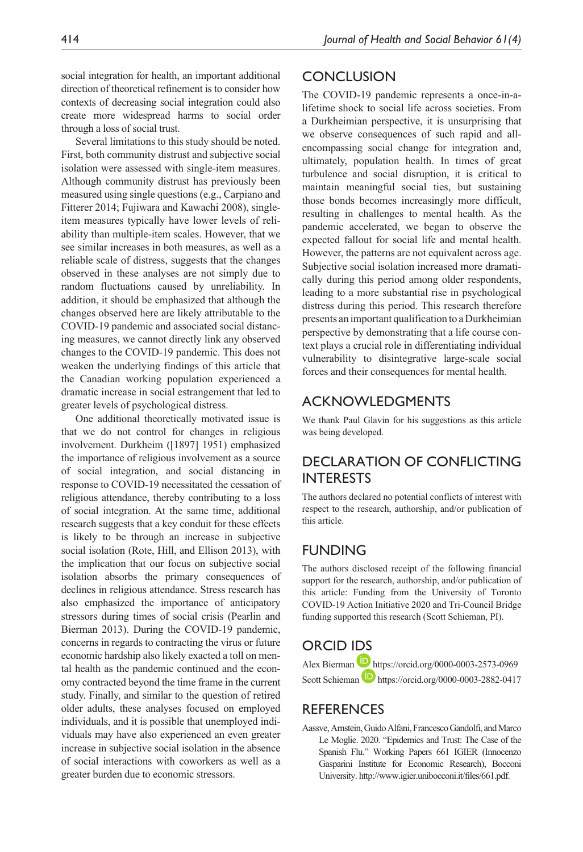414 *Journal of Health and Social Behavior 61(4)* 

social integration for health, an important additional direction of theoretical refinement is to consider how contexts of decreasing social integration could also create more widespread harms to social order through a loss of social trust.

Several limitations to this study should be noted. First, both community distrust and subjective social isolation were assessed with single-item measures. Although community distrust has previously been measured using single questions (e.g., Carpiano and Fitterer 2014; Fujiwara and Kawachi 2008), singleitem measures typically have lower levels of reliability than multiple-item scales. However, that we see similar increases in both measures, as well as a reliable scale of distress, suggests that the changes observed in these analyses are not simply due to random fluctuations caused by unreliability. In addition, it should be emphasized that although the changes observed here are likely attributable to the COVID-19 pandemic and associated social distancing measures, we cannot directly link any observed changes to the COVID-19 pandemic. This does not weaken the underlying findings of this article that the Canadian working population experienced a dramatic increase in social estrangement that led to greater levels of psychological distress.

One additional theoretically motivated issue is that we do not control for changes in religious involvement. Durkheim ([1897] 1951) emphasized the importance of religious involvement as a source of social integration, and social distancing in response to COVID-19 necessitated the cessation of religious attendance, thereby contributing to a loss of social integration. At the same time, additional research suggests that a key conduit for these effects is likely to be through an increase in subjective social isolation (Rote, Hill, and Ellison 2013), with the implication that our focus on subjective social isolation absorbs the primary consequences of declines in religious attendance. Stress research has also emphasized the importance of anticipatory stressors during times of social crisis (Pearlin and Bierman 2013). During the COVID-19 pandemic, concerns in regards to contracting the virus or future economic hardship also likely exacted a toll on mental health as the pandemic continued and the economy contracted beyond the time frame in the current study. Finally, and similar to the question of retired older adults, these analyses focused on employed individuals, and it is possible that unemployed individuals may have also experienced an even greater increase in subjective social isolation in the absence of social interactions with coworkers as well as a greater burden due to economic stressors.

### Conclusion

The COVID-19 pandemic represents a once-in-alifetime shock to social life across societies. From a Durkheimian perspective, it is unsurprising that we observe consequences of such rapid and allencompassing social change for integration and, ultimately, population health. In times of great turbulence and social disruption, it is critical to maintain meaningful social ties, but sustaining those bonds becomes increasingly more difficult, resulting in challenges to mental health. As the pandemic accelerated, we began to observe the expected fallout for social life and mental health. However, the patterns are not equivalent across age. Subjective social isolation increased more dramatically during this period among older respondents, leading to a more substantial rise in psychological distress during this period. This research therefore presents an important qualification to a Durkheimian perspective by demonstrating that a life course context plays a crucial role in differentiating individual vulnerability to disintegrative large-scale social forces and their consequences for mental health.

## **ACKNOWLEDGMENTS**

We thank Paul Glavin for his suggestions as this article was being developed.

# Declaration of Conflicting **INTERESTS**

The authors declared no potential conflicts of interest with respect to the research, authorship, and/or publication of this article.

### **FUNDING**

The authors disclosed receipt of the following financial support for the research, authorship, and/or publication of this article: Funding from the University of Toronto COVID-19 Action Initiative 2020 and Tri-Council Bridge funding supported this research (Scott Schieman, PI).

# ORCID iDs

Alex Bierman **<https://orcid.org/0000-0003-2573-0969>** Scott Schieman **b** <https://orcid.org/0000-0003-2882-0417>

### **REFERENCES**

Aassve, Arnstein, Guido Alfani, Francesco Gandolfi, and Marco Le Moglie. 2020. "Epidemics and Trust: The Case of the Spanish Flu." Working Papers 661 IGIER (Innocenzo Gasparini Institute for Economic Research), Bocconi University. [http://www.igier.unibocconi.it/files/661.pdf.](http://www.igier.unibocconi.it/files/661.pdf)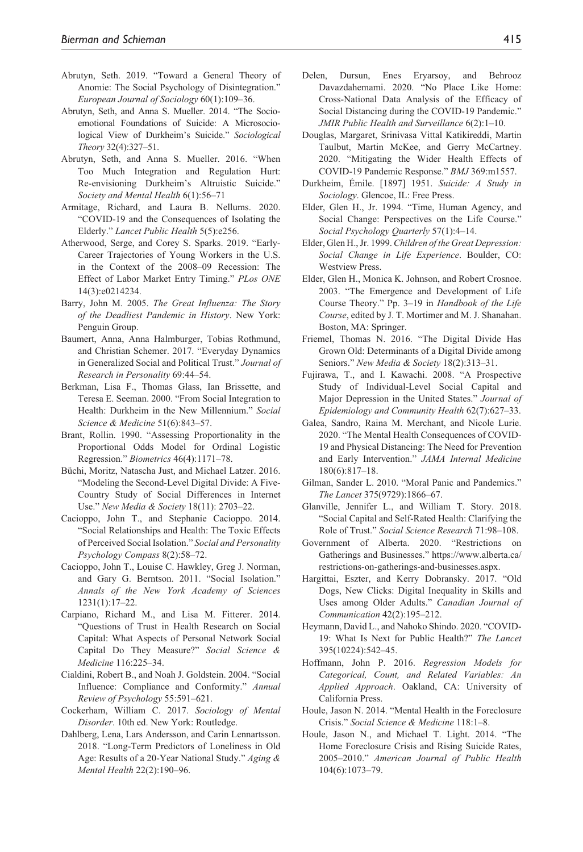- Abrutyn, Seth. 2019. "Toward a General Theory of Anomie: The Social Psychology of Disintegration." *European Journal of Sociology* 60(1):109–36.
- Abrutyn, Seth, and Anna S. Mueller. 2014. "The Socioemotional Foundations of Suicide: A Microsociological View of Durkheim's Suicide." *Sociological Theory* 32(4):327–51.
- Abrutyn, Seth, and Anna S. Mueller. 2016. "When Too Much Integration and Regulation Hurt: Re-envisioning Durkheim's Altruistic Suicide." *Society and Mental Health* 6(1):56–71
- Armitage, Richard, and Laura B. Nellums. 2020. "COVID-19 and the Consequences of Isolating the Elderly." *Lancet Public Health* 5(5):e256.
- Atherwood, Serge, and Corey S. Sparks. 2019. "Early-Career Trajectories of Young Workers in the U.S. in the Context of the 2008–09 Recession: The Effect of Labor Market Entry Timing." *PLos ONE* 14(3):e0214234.
- Barry, John M. 2005. *The Great Influenza: The Story of the Deadliest Pandemic in History*. New York: Penguin Group.
- Baumert, Anna, Anna Halmburger, Tobias Rothmund, and Christian Schemer. 2017. "Everyday Dynamics in Generalized Social and Political Trust." *Journal of Research in Personality* 69:44–54.
- Berkman, Lisa F., Thomas Glass, Ian Brissette, and Teresa E. Seeman. 2000. "From Social Integration to Health: Durkheim in the New Millennium." *Social Science & Medicine* 51(6):843–57.
- Brant, Rollin. 1990. "Assessing Proportionality in the Proportional Odds Model for Ordinal Logistic Regression." *Biometrics* 46(4):1171–78.
- Büchi, Moritz, Natascha Just, and Michael Latzer. 2016. "Modeling the Second-Level Digital Divide: A Five-Country Study of Social Differences in Internet Use." *New Media & Society* 18(11): 2703–22.
- Cacioppo, John T., and Stephanie Cacioppo. 2014. "Social Relationships and Health: The Toxic Effects of Perceived Social Isolation." *Social and Personality Psychology Compass* 8(2):58–72.
- Cacioppo, John T., Louise C. Hawkley, Greg J. Norman, and Gary G. Berntson. 2011. "Social Isolation." *Annals of the New York Academy of Sciences* 1231(1):17–22.
- Carpiano, Richard M., and Lisa M. Fitterer. 2014. "Questions of Trust in Health Research on Social Capital: What Aspects of Personal Network Social Capital Do They Measure?" *Social Science & Medicine* 116:225–34.
- Cialdini, Robert B., and Noah J. Goldstein. 2004. "Social Influence: Compliance and Conformity." *Annual Review of Psychology* 55:591–621.
- Cockerham, William C. 2017. *Sociology of Mental Disorder*. 10th ed. New York: Routledge.
- Dahlberg, Lena, Lars Andersson, and Carin Lennartsson. 2018. "Long-Term Predictors of Loneliness in Old Age: Results of a 20-Year National Study." *Aging & Mental Health* 22(2):190–96.
- Delen, Dursun, Enes Eryarsoy, and Behrooz Davazdahemami. 2020. "No Place Like Home: Cross-National Data Analysis of the Efficacy of Social Distancing during the COVID-19 Pandemic." *JMIR Public Health and Surveillance* 6(2):1–10.
- Douglas, Margaret, Srinivasa Vittal Katikireddi, Martin Taulbut, Martin McKee, and Gerry McCartney. 2020. "Mitigating the Wider Health Effects of COVID-19 Pandemic Response." *BMJ* 369:m1557.
- Durkheim, Émile. [1897] 1951. *Suicide: A Study in Sociology*. Glencoe, IL: Free Press.
- Elder, Glen H., Jr. 1994. "Time, Human Agency, and Social Change: Perspectives on the Life Course." *Social Psychology Quarterly* 57(1):4–14.
- Elder, Glen H., Jr. 1999. *Children of the Great Depression: Social Change in Life Experience*. Boulder, CO: Westview Press.
- Elder, Glen H., Monica K. Johnson, and Robert Crosnoe. 2003. "The Emergence and Development of Life Course Theory." Pp. 3–19 in *Handbook of the Life Course*, edited by J. T. Mortimer and M. J. Shanahan. Boston, MA: Springer.
- Friemel, Thomas N. 2016. "The Digital Divide Has Grown Old: Determinants of a Digital Divide among Seniors." *New Media & Society* 18(2):313–31.
- Fujirawa, T., and I. Kawachi. 2008. "A Prospective Study of Individual-Level Social Capital and Major Depression in the United States." *Journal of Epidemiology and Community Health* 62(7):627–33.
- Galea, Sandro, Raina M. Merchant, and Nicole Lurie. 2020. "The Mental Health Consequences of COVID-19 and Physical Distancing: The Need for Prevention and Early Intervention." *JAMA Internal Medicine* 180(6):817–18.
- Gilman, Sander L. 2010. "Moral Panic and Pandemics." *The Lancet* 375(9729):1866–67.
- Glanville, Jennifer L., and William T. Story. 2018. "Social Capital and Self-Rated Health: Clarifying the Role of Trust." *Social Science Research* 71:98–108.
- Government of Alberta. 2020. "Restrictions on Gatherings and Businesses." [https://www.alberta.ca/](https://www.alberta.ca/restrictions-on-gatherings-and-businesses.aspx) [restrictions-on-gatherings-and-businesses.aspx.](https://www.alberta.ca/restrictions-on-gatherings-and-businesses.aspx)
- Hargittai, Eszter, and Kerry Dobransky. 2017. "Old Dogs, New Clicks: Digital Inequality in Skills and Uses among Older Adults." *Canadian Journal of Communication* 42(2):195–212.
- Heymann, David L., and Nahoko Shindo. 2020. "COVID-19: What Is Next for Public Health?" *The Lancet* 395(10224):542–45.
- Hoffmann, John P. 2016. *Regression Models for Categorical, Count, and Related Variables: An Applied Approach*. Oakland, CA: University of California Press.
- Houle, Jason N. 2014. "Mental Health in the Foreclosure Crisis." *Social Science & Medicine* 118:1–8.
- Houle, Jason N., and Michael T. Light. 2014. "The Home Foreclosure Crisis and Rising Suicide Rates, 2005–2010." *American Journal of Public Health* 104(6):1073–79.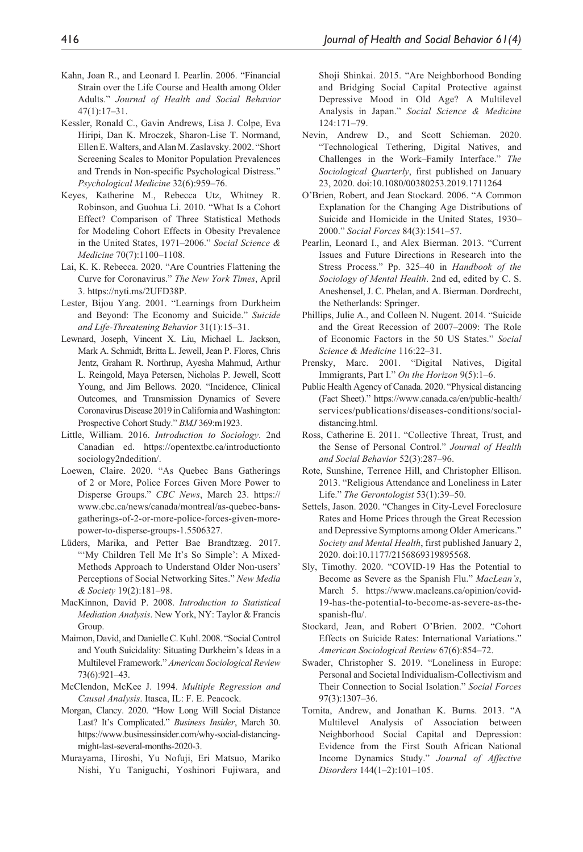- Kahn, Joan R., and Leonard I. Pearlin. 2006. "Financial Strain over the Life Course and Health among Older Adults." *Journal of Health and Social Behavior* 47(1):17–31.
- Kessler, Ronald C., Gavin Andrews, Lisa J. Colpe, Eva Hiripi, Dan K. Mroczek, Sharon-Lise T. Normand, Ellen E. Walters, and Alan M. Zaslavsky. 2002. "Short Screening Scales to Monitor Population Prevalences and Trends in Non-specific Psychological Distress." *Psychological Medicine* 32(6):959–76.
- Keyes, Katherine M., Rebecca Utz, Whitney R. Robinson, and Guohua Li. 2010. "What Is a Cohort Effect? Comparison of Three Statistical Methods for Modeling Cohort Effects in Obesity Prevalence in the United States, 1971–2006." *Social Science & Medicine* 70(7):1100–1108.
- Lai, K. K. Rebecca. 2020. "Are Countries Flattening the Curve for Coronavirus." *The New York Times*, April 3. [https://nyti.ms/2UFD38P.](https://nyti.ms/2UFD38P)
- Lester, Bijou Yang. 2001. "Learnings from Durkheim and Beyond: The Economy and Suicide." *Suicide and Life-Threatening Behavior* 31(1):15–31.
- Lewnard, Joseph, Vincent X. Liu, Michael L. Jackson, Mark A. Schmidt, Britta L. Jewell, Jean P. Flores, Chris Jentz, Graham R. Northrup, Ayesha Mahmud, Arthur L. Reingold, Maya Petersen, Nicholas P. Jewell, Scott Young, and Jim Bellows. 2020. "Incidence, Clinical Outcomes, and Transmission Dynamics of Severe Coronavirus Disease 2019 in California and Washington: Prospective Cohort Study." *BMJ* 369:m1923.
- Little, William. 2016. *Introduction to Sociology*. 2nd Canadian ed. [https://opentextbc.ca/introductionto](https://opentextbc.ca/introductiontosociology2ndedition/) [sociology2ndedition/.](https://opentextbc.ca/introductiontosociology2ndedition/)
- Loewen, Claire. 2020. "As Quebec Bans Gatherings of 2 or More, Police Forces Given More Power to Disperse Groups." *CBC News*, March 23. [https://](https://www.cbc.ca/news/canada/montreal/as-quebec-bans-gatherings-of-2-or-more-police-forces-given-more-power-to-disperse-groups-1.5506327) [www.cbc.ca/news/canada/montreal/as-quebec-bans](https://www.cbc.ca/news/canada/montreal/as-quebec-bans-gatherings-of-2-or-more-police-forces-given-more-power-to-disperse-groups-1.5506327)[gatherings-of-2-or-more-police-forces-given-more](https://www.cbc.ca/news/canada/montreal/as-quebec-bans-gatherings-of-2-or-more-police-forces-given-more-power-to-disperse-groups-1.5506327)[power-to-disperse-groups-1.5506327.](https://www.cbc.ca/news/canada/montreal/as-quebec-bans-gatherings-of-2-or-more-police-forces-given-more-power-to-disperse-groups-1.5506327)
- Lüders, Marika, and Petter Bae Brandtzæg. 2017. "'My Children Tell Me It's So Simple': A Mixed-Methods Approach to Understand Older Non-users' Perceptions of Social Networking Sites." *New Media & Society* 19(2):181–98.
- MacKinnon, David P. 2008. *Introduction to Statistical Mediation Analysis*. New York, NY: Taylor & Francis Group.
- Maimon, David, and Danielle C. Kuhl. 2008. "Social Control and Youth Suicidality: Situating Durkheim's Ideas in a Multilevel Framework." *American Sociological Review* 73(6):921–43.
- McClendon, McKee J. 1994. *Multiple Regression and Causal Analysis*. Itasca, IL: F. E. Peacock.
- Morgan, Clancy. 2020. "How Long Will Social Distance Last? It's Complicated." *Business Insider*, March 30. [https://www.businessinsider.com/why-social-distancing](https://www.businessinsider.com/why-social-distancing-might-last-several-months-2020-3)[might-last-several-months-2020-3.](https://www.businessinsider.com/why-social-distancing-might-last-several-months-2020-3)
- Murayama, Hiroshi, Yu Nofuji, Eri Matsuo, Mariko Nishi, Yu Taniguchi, Yoshinori Fujiwara, and

Shoji Shinkai. 2015. "Are Neighborhood Bonding and Bridging Social Capital Protective against Depressive Mood in Old Age? A Multilevel Analysis in Japan." *Social Science & Medicine* 124:171–79.

- Nevin, Andrew D., and Scott Schieman. 2020. "Technological Tethering, Digital Natives, and Challenges in the Work–Family Interface." *The Sociological Quarterly*, first published on January 23, 2020. doi:10.1080/00380253.2019.1711264
- O'Brien, Robert, and Jean Stockard. 2006. "A Common Explanation for the Changing Age Distributions of Suicide and Homicide in the United States, 1930– 2000." *Social Forces* 84(3):1541–57.
- Pearlin, Leonard I., and Alex Bierman. 2013. "Current Issues and Future Directions in Research into the Stress Process." Pp. 325–40 in *Handbook of the Sociology of Mental Health*. 2nd ed, edited by C. S. Aneshensel, J. C. Phelan, and A. Bierman. Dordrecht, the Netherlands: Springer.
- Phillips, Julie A., and Colleen N. Nugent. 2014. "Suicide and the Great Recession of 2007–2009: The Role of Economic Factors in the 50 US States." *Social Science & Medicine* 116:22–31.
- Prensky, Marc. 2001. "Digital Natives, Digital Immigrants, Part I." *On the Horizon* 9(5):1–6.
- Public Health Agency of Canada. 2020. "Physical distancing (Fact Sheet)." [https://www.canada.ca/en/public-health/](https://www.canada.ca/en/public-health/services/publications/diseases-conditions/social-distancing.html) [services/publications/diseases-conditions/social](https://www.canada.ca/en/public-health/services/publications/diseases-conditions/social-distancing.html)[distancing.html](https://www.canada.ca/en/public-health/services/publications/diseases-conditions/social-distancing.html).
- Ross, Catherine E. 2011. "Collective Threat, Trust, and the Sense of Personal Control." *Journal of Health and Social Behavior* 52(3):287–96.
- Rote, Sunshine, Terrence Hill, and Christopher Ellison. 2013. "Religious Attendance and Loneliness in Later Life." *The Gerontologist* 53(1):39–50.
- Settels, Jason. 2020. "Changes in City-Level Foreclosure Rates and Home Prices through the Great Recession and Depressive Symptoms among Older Americans." *Society and Mental Health*, first published January 2, 2020. doi:10.1177/2156869319895568.
- Sly, Timothy. 2020. "COVID-19 Has the Potential to Become as Severe as the Spanish Flu." *MacLean's*, March 5. [https://www.macleans.ca/opinion/covid-](https://www.macleans.ca/opinion/covid-19-has-the-potential-to-become-as-severe-as-the-spanish-flu/)[19-has-the-potential-to-become-as-severe-as-the](https://www.macleans.ca/opinion/covid-19-has-the-potential-to-become-as-severe-as-the-spanish-flu/)[spanish-flu/.](https://www.macleans.ca/opinion/covid-19-has-the-potential-to-become-as-severe-as-the-spanish-flu/)
- Stockard, Jean, and Robert O'Brien. 2002. "Cohort Effects on Suicide Rates: International Variations." *American Sociological Review* 67(6):854–72.
- Swader, Christopher S. 2019. "Loneliness in Europe: Personal and Societal Individualism-Collectivism and Their Connection to Social Isolation." *Social Forces* 97(3):1307–36.
- Tomita, Andrew, and Jonathan K. Burns. 2013. "A Multilevel Analysis of Association between Neighborhood Social Capital and Depression: Evidence from the First South African National Income Dynamics Study." *Journal of Affective Disorders* 144(1–2):101–105.